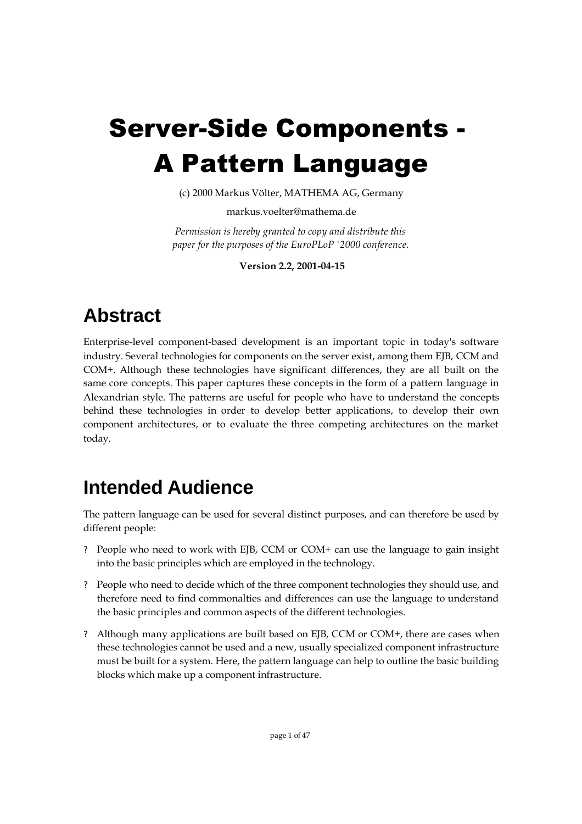# Server-Side Components - A Pattern Language

(c) 2000 Markus Völter, MATHEMA AG, Germany

markus.voelter@mathema.de

*Permission is hereby granted to copy and distribute this paper for the purposes of the EuroPLoP '2000 conference.*

**Version 2.2, 2001-04-15**

## **Abstract**

Enterprise-level component-based development is an important topic in today's software industry. Several technologies for components on the server exist, among them EJB, CCM and COM+. Although these technologies have significant differences, they are all built on the same core concepts. This paper captures these concepts in the form of a pattern language in Alexandrian style. The patterns are useful for people who have to understand the concepts behind these technologies in order to develop better applications, to develop their own component architectures, or to evaluate the three competing architectures on the market today.

## **Intended Audience**

The pattern language can be used for several distinct purposes, and can therefore be used by different people:

- ? People who need to work with EJB, CCM or COM+ can use the language to gain insight into the basic principles which are employed in the technology.
- ? People who need to decide which of the three component technologies they should use, and therefore need to find commonalties and differences can use the language to understand the basic principles and common aspects of the different technologies.
- ? Although many applications are built based on EJB, CCM or COM+, there are cases when these technologies cannot be used and a new, usually specialized component infrastructure must be built for a system. Here, the pattern language can help to outline the basic building blocks which make up a component infrastructure.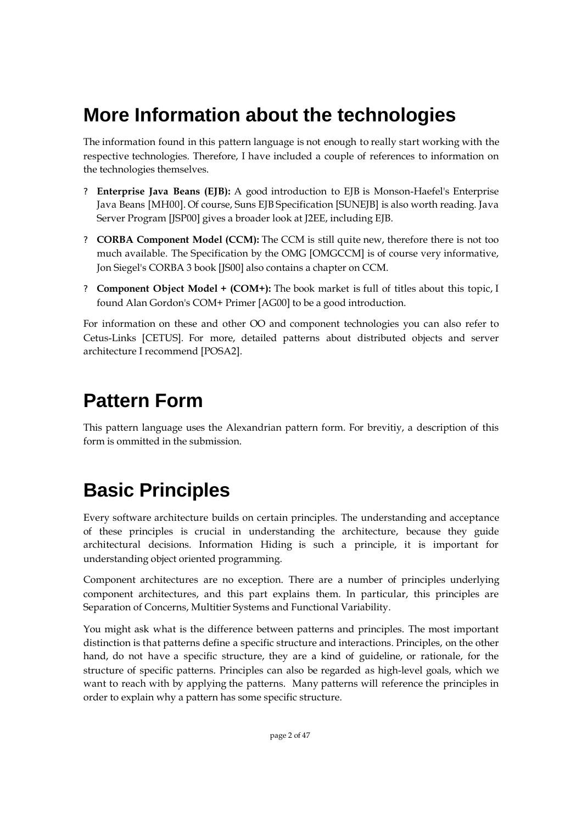## **More Information about the technologies**

The information found in this pattern language is not enough to really start working with the respective technologies. Therefore, I have included a couple of references to information on the technologies themselves.

- ? **Enterprise Java Beans (EJB):** A good introduction to EJB is Monson-Haefel's Enterprise Java Beans [MH00]. Of course, Suns EJB Specification [SUNEJB] is also worth reading. Java Server Program [JSP00] gives a broader look at J2EE, including EJB.
- ? **CORBA Component Model (CCM):** The CCM is still quite new, therefore there is not too much available. The Specification by the OMG [OMGCCM] is of course very informative, Jon Siegel's CORBA 3 book [JS00] also contains a chapter on CCM.
- ? **Component Object Model + (COM+):** The book market is full of titles about this topic, I found Alan Gordon's COM+ Primer [AG00] to be a good introduction.

For information on these and other OO and component technologies you can also refer to Cetus-Links [CETUS]. For more, detailed patterns about distributed objects and server architecture I recommend [POSA2].

## **Pattern Form**

This pattern language uses the Alexandrian pattern form. For brevitiy, a description of this form is ommitted in the submission.

## **Basic Principles**

Every software architecture builds on certain principles. The understanding and acceptance of these principles is crucial in understanding the architecture, because they guide architectural decisions. Information Hiding is such a principle, it is important for understanding object oriented programming.

Component architectures are no exception. There are a number of principles underlying component architectures, and this part explains them. In particular, this principles are Separation of Concerns, Multitier Systems and Functional Variability.

You might ask what is the difference between patterns and principles. The most important distinction is that patterns define a specific structure and interactions. Principles, on the other hand, do not have a specific structure, they are a kind of guideline, or rationale, for the structure of specific patterns. Principles can also be regarded as high-level goals, which we want to reach with by applying the patterns. Many patterns will reference the principles in order to explain why a pattern has some specific structure.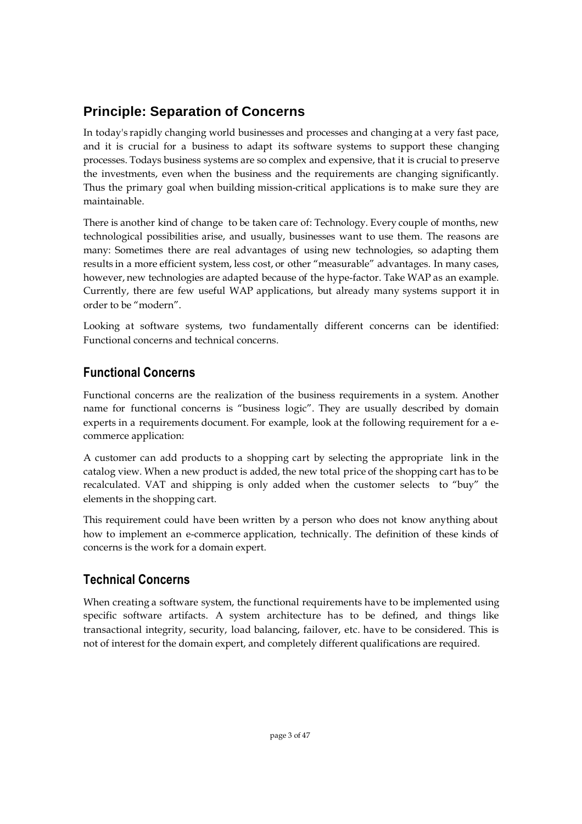## **Principle: Separation of Concerns**

In today's rapidly changing world businesses and processes and changing at a very fast pace, and it is crucial for a business to adapt its software systems to support these changing processes. Todays business systems are so complex and expensive, that it is crucial to preserve the investments, even when the business and the requirements are changing significantly. Thus the primary goal when building mission-critical applications is to make sure they are maintainable.

There is another kind of change to be taken care of: Technology. Every couple of months, new technological possibilities arise, and usually, businesses want to use them. The reasons are many: Sometimes there are real advantages of using new technologies, so adapting them results in a more efficient system, less cost, or other "measurable" advantages. In many cases, however, new technologies are adapted because of the hype-factor. Take WAP as an example. Currently, there are few useful WAP applications, but already many systems support it in order to be "modern".

Looking at software systems, two fundamentally different concerns can be identified: Functional concerns and technical concerns.

## **Functional Concerns**

Functional concerns are the realization of the business requirements in a system. Another name for functional concerns is "business logic". They are usually described by domain experts in a requirements document. For example, look at the following requirement for a ecommerce application:

A customer can add products to a shopping cart by selecting the appropriate link in the catalog view. When a new product is added, the new total price of the shopping cart has to be recalculated. VAT and shipping is only added when the customer selects to "buy" the elements in the shopping cart.

This requirement could have been written by a person who does not know anything about how to implement an e-commerce application, technically. The definition of these kinds of concerns is the work for a domain expert.

## **Technical Concerns**

When creating a software system, the functional requirements have to be implemented using specific software artifacts. A system architecture has to be defined, and things like transactional integrity, security, load balancing, failover, etc. have to be considered. This is not of interest for the domain expert, and completely different qualifications are required.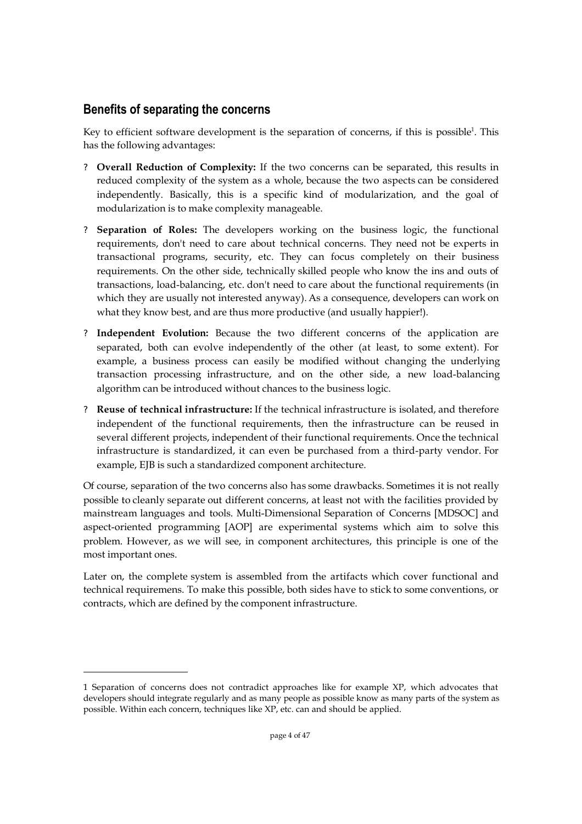### **Benefits of separating the concerns**

Key to efficient software development is the separation of concerns, if this is possible<sup>1</sup>. This has the following advantages:

- ? **Overall Reduction of Complexity:** If the two concerns can be separated, this results in reduced complexity of the system as a whole, because the two aspects can be considered independently. Basically, this is a specific kind of modularization, and the goal of modularization is to make complexity manageable.
- ? **Separation of Roles:** The developers working on the business logic, the functional requirements, don't need to care about technical concerns. They need not be experts in transactional programs, security, etc. They can focus completely on their business requirements. On the other side, technically skilled people who know the ins and outs of transactions, load-balancing, etc. don't need to care about the functional requirements (in which they are usually not interested anyway). As a consequence, developers can work on what they know best, and are thus more productive (and usually happier!).
- ? **Independent Evolution:** Because the two different concerns of the application are separated, both can evolve independently of the other (at least, to some extent). For example, a business process can easily be modified without changing the underlying transaction processing infrastructure, and on the other side, a new load-balancing algorithm can be introduced without chances to the business logic.
- ? **Reuse of technical infrastructure:** If the technical infrastructure is isolated, and therefore independent of the functional requirements, then the infrastructure can be reused in several different projects, independent of their functional requirements. Once the technical infrastructure is standardized, it can even be purchased from a third-party vendor. For example, EJB is such a standardized component architecture.

Of course, separation of the two concerns also has some drawbacks. Sometimes it is not really possible to cleanly separate out different concerns, at least not with the facilities provided by mainstream languages and tools. Multi-Dimensional Separation of Concerns [MDSOC] and aspect-oriented programming [AOP] are experimental systems which aim to solve this problem. However, as we will see, in component architectures, this principle is one of the most important ones.

Later on, the complete system is assembled from the artifacts which cover functional and technical requiremens. To make this possible, both sides have to stick to some conventions, or contracts, which are defined by the component infrastructure.

<sup>1</sup> Separation of concerns does not contradict approaches like for example XP, which advocates that developers should integrate regularly and as many people as possible know as many parts of the system as possible. Within each concern, techniques like XP, etc. can and should be applied.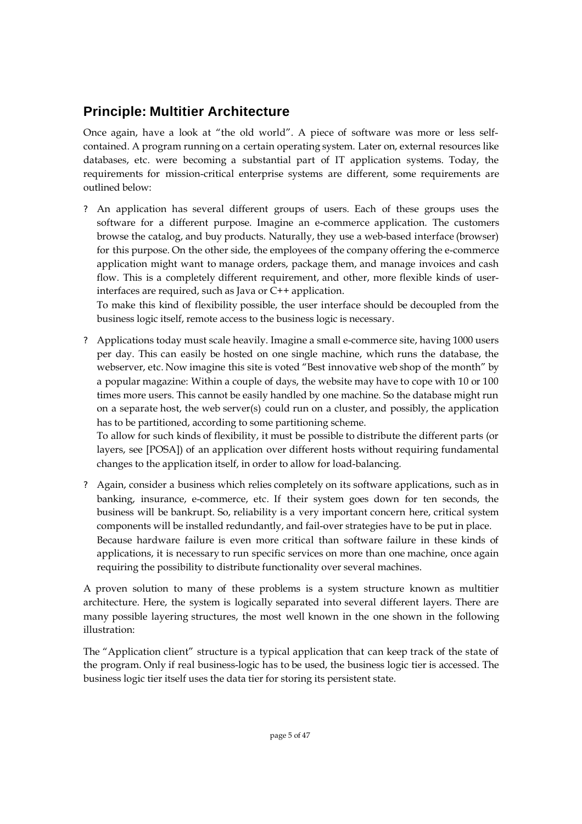## **Principle: Multitier Architecture**

Once again, have a look at "the old world". A piece of software was more or less selfcontained. A program running on a certain operating system. Later on, external resources like databases, etc. were becoming a substantial part of IT application systems. Today, the requirements for mission-critical enterprise systems are different, some requirements are outlined below:

? An application has several different groups of users. Each of these groups uses the software for a different purpose. Imagine an e-commerce application. The customers browse the catalog, and buy products. Naturally, they use a web-based interface (browser) for this purpose. On the other side, the employees of the company offering the e-commerce application might want to manage orders, package them, and manage invoices and cash flow. This is a completely different requirement, and other, more flexible kinds of userinterfaces are required, such as Java or C++ application.

To make this kind of flexibility possible, the user interface should be decoupled from the business logic itself, remote access to the business logic is necessary.

? Applications today must scale heavily. Imagine a small e-commerce site, having 1000 users per day. This can easily be hosted on one single machine, which runs the database, the webserver, etc. Now imagine this site is voted "Best innovative web shop of the month" by a popular magazine: Within a couple of days, the website may have to cope with 10 or 100 times more users. This cannot be easily handled by one machine. So the database might run on a separate host, the web server(s) could run on a cluster, and possibly, the application has to be partitioned, according to some partitioning scheme.

To allow for such kinds of flexibility, it must be possible to distribute the different parts (or layers, see [POSA]) of an application over different hosts without requiring fundamental changes to the application itself, in order to allow for load-balancing.

? Again, consider a business which relies completely on its software applications, such as in banking, insurance, e-commerce, etc. If their system goes down for ten seconds, the business will be bankrupt. So, reliability is a very important concern here, critical system components will be installed redundantly, and fail-over strategies have to be put in place. Because hardware failure is even more critical than software failure in these kinds of applications, it is necessary to run specific services on more than one machine, once again requiring the possibility to distribute functionality over several machines.

A proven solution to many of these problems is a system structure known as multitier architecture. Here, the system is logically separated into several different layers. There are many possible layering structures, the most well known in the one shown in the following illustration:

The "Application client" structure is a typical application that can keep track of the state of the program. Only if real business-logic has to be used, the business logic tier is accessed. The business logic tier itself uses the data tier for storing its persistent state.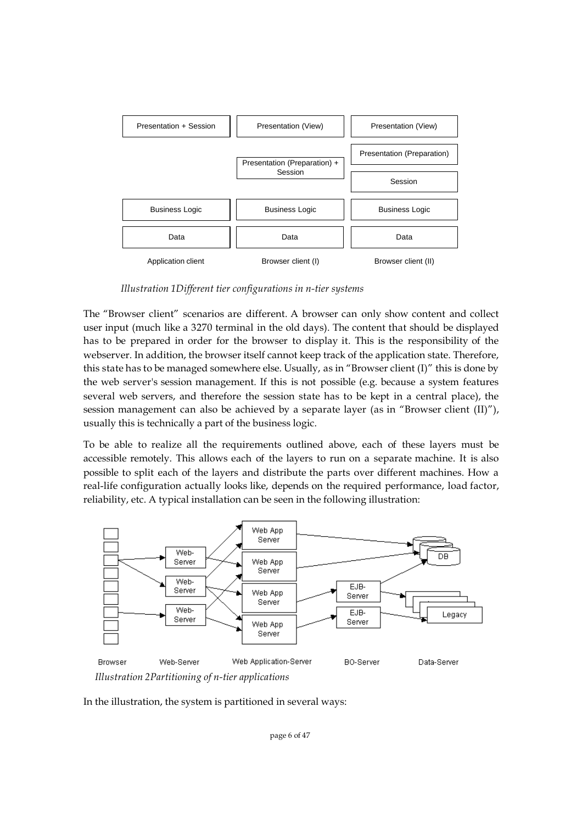

*Illustration 1Different tier configurations in n-tier systems*

The "Browser client" scenarios are different. A browser can only show content and collect user input (much like a 3270 terminal in the old days). The content that should be displayed has to be prepared in order for the browser to display it. This is the responsibility of the webserver. In addition, the browser itself cannot keep track of the application state. Therefore, this state has to be managed somewhere else. Usually, as in "Browser client (I)" this is done by the web server's session management. If this is not possible (e.g. because a system features several web servers, and therefore the session state has to be kept in a central place), the session management can also be achieved by a separate layer (as in "Browser client  $(II)$ "), usually this is technically a part of the business logic.

To be able to realize all the requirements outlined above, each of these layers must be accessible remotely. This allows each of the layers to run on a separate machine. It is also possible to split each of the layers and distribute the parts over different machines. How a real-life configuration actually looks like, depends on the required performance, load factor, reliability, etc. A typical installation can be seen in the following illustration:



In the illustration, the system is partitioned in several ways: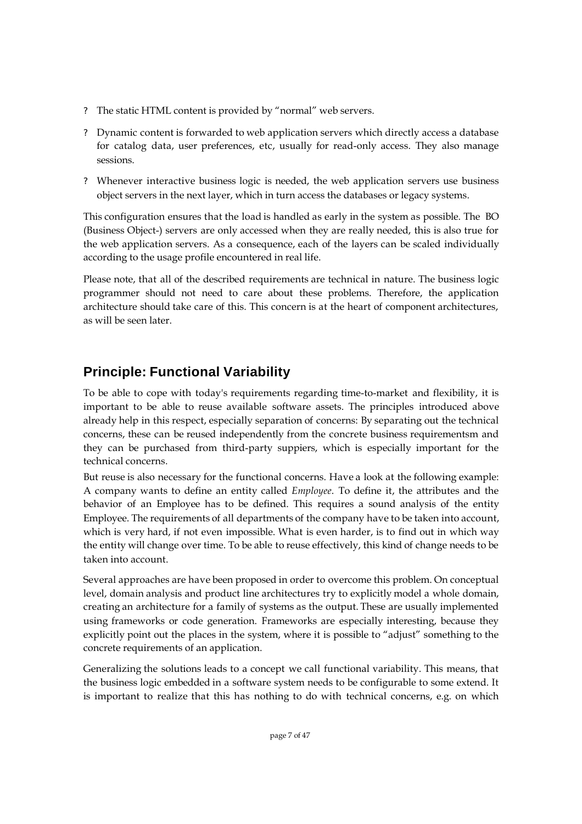- ? The static HTML content is provided by "normal" web servers.
- ? Dynamic content is forwarded to web application servers which directly access a database for catalog data, user preferences, etc, usually for read-only access. They also manage sessions.
- ? Whenever interactive business logic is needed, the web application servers use business object servers in the next layer, which in turn access the databases or legacy systems.

This configuration ensures that the load is handled as early in the system as possible. The BO (Business Object-) servers are only accessed when they are really needed, this is also true for the web application servers. As a consequence, each of the layers can be scaled individually according to the usage profile encountered in real life.

Please note, that all of the described requirements are technical in nature. The business logic programmer should not need to care about these problems. Therefore, the application architecture should take care of this. This concern is at the heart of component architectures, as will be seen later.

## **Principle: Functional Variability**

To be able to cope with today's requirements regarding time-to-market and flexibility, it is important to be able to reuse available software assets. The principles introduced above already help in this respect, especially separation of concerns: By separating out the technical concerns, these can be reused independently from the concrete business requirementsm and they can be purchased from third-party suppiers, which is especially important for the technical concerns.

But reuse is also necessary for the functional concerns. Have a look at the following example: A company wants to define an entity called *Employee*. To define it, the attributes and the behavior of an Employee has to be defined. This requires a sound analysis of the entity Employee. The requirements of all departments of the company have to be taken into account, which is very hard, if not even impossible. What is even harder, is to find out in which way the entity will change over time. To be able to reuse effectively, this kind of change needs to be taken into account.

Several approaches are have been proposed in order to overcome this problem. On conceptual level, domain analysis and product line architectures try to explicitly model a whole domain, creating an architecture for a family of systems as the output. These are usually implemented using frameworks or code generation. Frameworks are especially interesting, because they explicitly point out the places in the system, where it is possible to "adjust" something to the concrete requirements of an application.

Generalizing the solutions leads to a concept we call functional variability. This means, that the business logic embedded in a software system needs to be configurable to some extend. It is important to realize that this has nothing to do with technical concerns, e.g. on which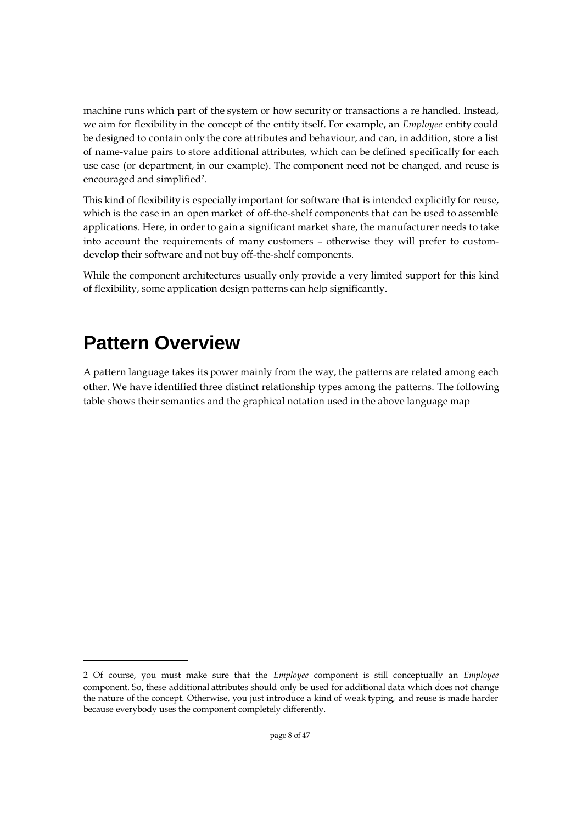machine runs which part of the system or how security or transactions a re handled. Instead, we aim for flexibility in the concept of the entity itself. For example, an *Employee* entity could be designed to contain only the core attributes and behaviour, and can, in addition, store a list of name-value pairs to store additional attributes, which can be defined specifically for each use case (or department, in our example). The component need not be changed, and reuse is encouraged and simplified<sup>2</sup>.

This kind of flexibility is especially important for software that is intended explicitly for reuse, which is the case in an open market of off-the-shelf components that can be used to assemble applications. Here, in order to gain a significant market share, the manufacturer needs to take into account the requirements of many customers – otherwise they will prefer to customdevelop their software and not buy off-the-shelf components.

While the component architectures usually only provide a very limited support for this kind of flexibility, some application design patterns can help significantly.

## **Pattern Overview**

A pattern language takes its power mainly from the way, the patterns are related among each other. We have identified three distinct relationship types among the patterns. The following table shows their semantics and the graphical notation used in the above language map

<sup>2</sup> Of course, you must make sure that the *Employee* component is still conceptually an *Employee* component. So, these additional attributes should only be used for additional data which does not change the nature of the concept. Otherwise, you just introduce a kind of weak typing, and reuse is made harder because everybody uses the component completely differently.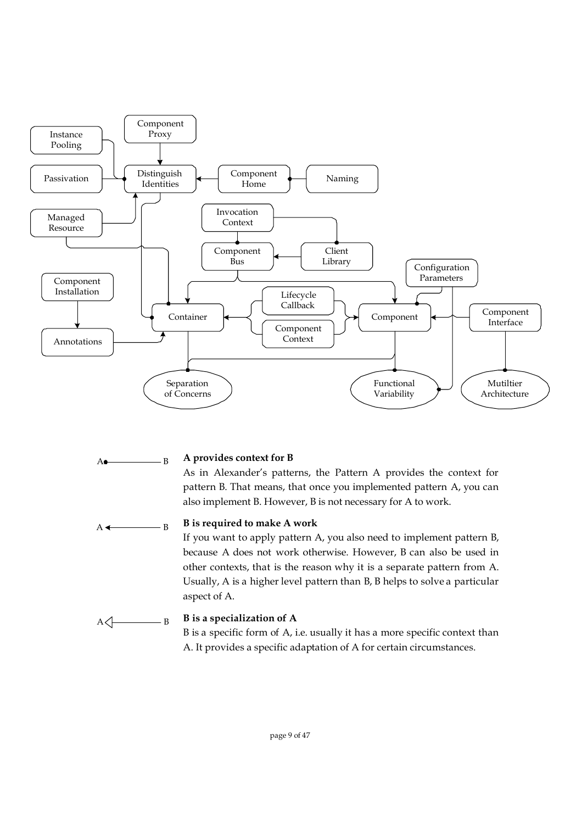

 $A \bullet$  B

#### **A provides context for B**

As in Alexander's patterns, the Pattern A provides the context for pattern B. That means, that once you implemented pattern A, you can also implement B. However, B is not necessary for A to work.

 $A \leftarrow B$ 

#### **B is required to make A work**

If you want to apply pattern A, you also need to implement pattern B, because A does not work otherwise. However, B can also be used in other contexts, that is the reason why it is a separate pattern from A. Usually, A is a higher level pattern than B, B helps to solve a particular aspect of A.

 $A \triangleleft$  B

#### **B is a specialization of A**

B is a specific form of A, i.e. usually it has a more specific context than A. It provides a specific adaptation of A for certain circumstances.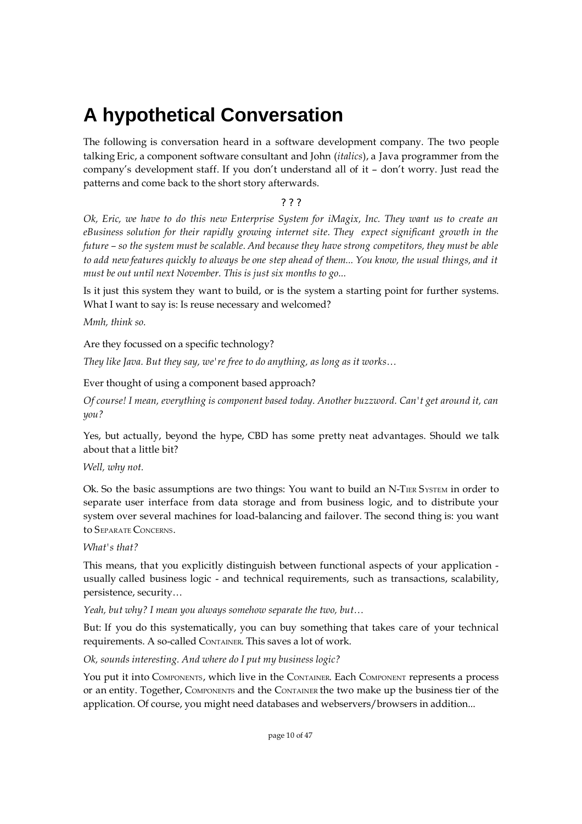## **A hypothetical Conversation**

The following is conversation heard in a software development company. The two people talking Eric, a component software consultant and John (*italics*), a Java programmer from the company's development staff. If you don't understand all of it – don't worry. Just read the patterns and come back to the short story afterwards.

#### ? ? ?

Ok, Eric, we have to do this new Enterprise System for iMagix, Inc. They want us to create an *eBusiness solution for their rapidly growing internet site. They expect significant growth in the* future - so the system must be scalable. And because they have strong competitors, they must be able to add new features quickly to always be one step ahead of them... You know, the usual things, and it *must be out until next November. This is just six months to go...*

Is it just this system they want to build, or is the system a starting point for further systems. What I want to say is: Is reuse necessary and welcomed?

*Mmh, think so.*

Are they focussed on a specific technology?

*They like Java. But they say, we're free to do anything, as long as it works…*

Ever thought of using a component based approach?

*Of course! I mean, everything is component based today. Another buzzword. Can't get around it, can you?*

Yes, but actually, beyond the hype, CBD has some pretty neat advantages. Should we talk about that a little bit?

*Well, why not.*

Ok. So the basic assumptions are two things: You want to build an N-TIER SYSTEM in order to separate user interface from data storage and from business logic, and to distribute your system over several machines for load-balancing and failover. The second thing is: you want to SEPARATE CONCERNS.

#### *What's that?*

This means, that you explicitly distinguish between functional aspects of your application usually called business logic - and technical requirements, such as transactions, scalability, persistence, security…

*Yeah, but why? I mean you always somehow separate the two, but…*

But: If you do this systematically, you can buy something that takes care of your technical requirements. A so-called CONTAINER. This saves a lot of work.

*Ok, sounds interesting. And where do I put my business logic?*

You put it into COMPONENTS, which live in the CONTAINER. Each COMPONENT represents a process or an entity. Together, COMPONENTS and the CONTAINER the two make up the business tier of the application. Of course, you might need databases and webservers/browsers in addition...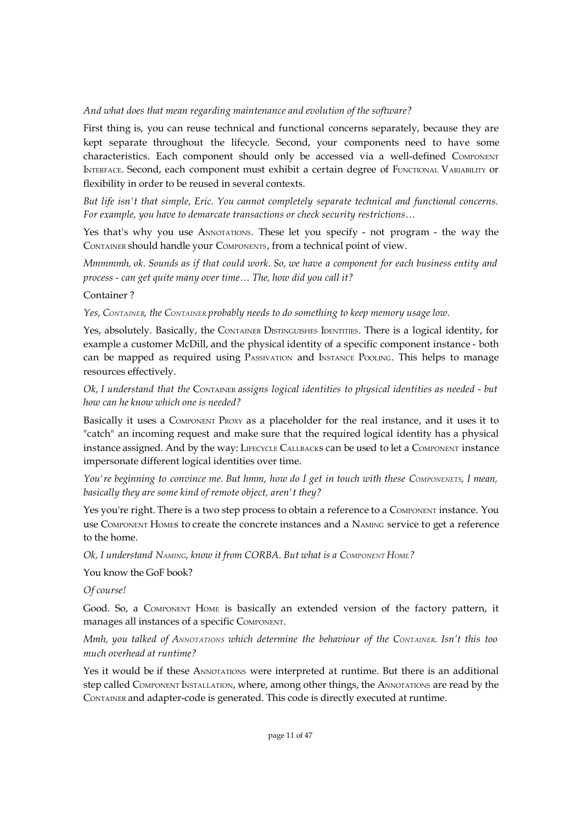#### *And what does that mean regarding maintenance and evolution of the software?*

First thing is, you can reuse technical and functional concerns separately, because they are kept separate throughout the lifecycle. Second, your components need to have some characteristics. Each component should only be accessed via a well-defined COMPONENT INTERFACE. Second, each component must exhibit a certain degree of FUNCTIONAL VARIABILITY or flexibility in order to be reused in several contexts.

*But life isn't that simple, Eric. You cannot completely separate technical and functional concerns. For example, you have to demarcate transactions or check security restrictions…*

Yes that's why you use ANNOTATIONS. These let you specify - not program - the way the CONTAINER should handle your COMPONENTS, from a technical point of view.

*Mmmmmh, ok. Sounds as if that could work. So, we have a component for each business entity and process - can get quite many over time… The, how did you call it?*

Container ?

*Yes, CONTAINER, the CONTAINER probably needs to do something to keep memory usage low.*

Yes, absolutely. Basically, the CONTAINER DISTINGUISHES IDENTITIES. There is a logical identity, for example a customer McDill, and the physical identity of a specific component instance - both can be mapped as required using PASSIVATION and INSTANCE POOLING. This helps to manage resources effectively.

*Ok, I understand that the* CONTAINER *assigns logical identities to physical identities as needed - but how can he know which one is needed?*

Basically it uses a COMPONENT PROXY as a placeholder for the real instance, and it uses it to "catch" an incoming request and make sure that the required logical identity has a physical instance assigned. And by the way: LIFECYCLE CALLBACKs can be used to let a COMPONENT instance impersonate different logical identities over time.

You're beginning to convince me. But hmm, how do I get in touch with these COMPONENETS, I mean, *basically they are some kind of remote object, aren't they?*

Yes you're right. There is a two step process to obtain a reference to a COMPONENT instance. You use COMPONENT HOMEs to create the concrete instances and a NAMING service to get a reference to the home.

*Ok, I understand NAMING, know it from CORBA. But what is a COMPONENT HOME?*

You know the GoF book?

*Of course!*

Good. So, a COMPONENT HOME is basically an extended version of the factory pattern, it manages all instances of a specific COMPONENT.

*Mmh, you talked of ANNOTATIONS which determine the behaviour of the CONTAINER. Isn't this too much overhead at runtime?*

Yes it would be if these ANNOTATIONS were interpreted at runtime. But there is an additional step called COMPONENT INSTALLATION, where, among other things, the ANNOTATIONS are read by the CONTAINER and adapter-code is generated. This code is directly executed at runtime.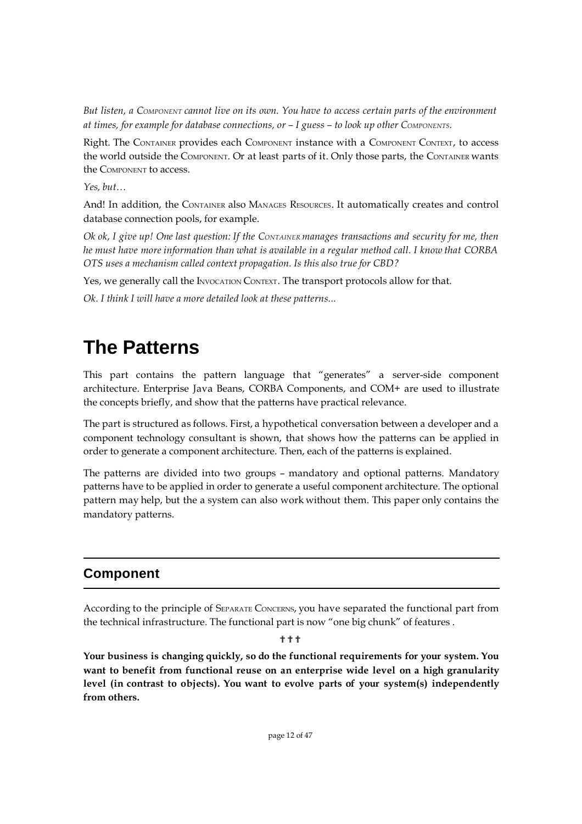But listen, a COMPONENT cannot live on its own. You have to access certain parts of the environment *at times, for example for database connections, or – I guess – to look up other COMPONENTS.*

Right. The CONTAINER provides each COMPONENT instance with a COMPONENT CONTEXT, to access the world outside the COMPONENT. Or at least parts of it. Only those parts, the CONTAINER wants the COMPONENT to access.

*Yes, but…*

And! In addition, the CONTAINER also MANAGES RESOURCES. It automatically creates and control database connection pools, for example.

Ok ok, I give up! One last question: If the CONTAINER manages transactions and security for me, then *he must have more information than what is available in a regular method call. I know that CORBA OTS uses a mechanism called context propagation. Is this also true for CBD?*

Yes, we generally call the INVOCATION CONTEXT. The transport protocols allow for that.

*Ok. I think I will have a more detailed look at these patterns...*

## **The Patterns**

This part contains the pattern language that "generates" a server-side component architecture. Enterprise Java Beans, CORBA Components, and COM+ are used to illustrate the concepts briefly, and show that the patterns have practical relevance.

The part is structured as follows. First, a hypothetical conversation between a developer and a component technology consultant is shown, that shows how the patterns can be applied in order to generate a component architecture. Then, each of the patterns is explained.

The patterns are divided into two groups – mandatory and optional patterns. Mandatory patterns have to be applied in order to generate a useful component architecture. The optional pattern may help, but the a system can also work without them. This paper only contains the mandatory patterns.

### **Component**

According to the principle of SEPARATE CONCERNS, you have separated the functional part from the technical infrastructure. The functional part is now "one big chunk" of features .

#### ???

**Your business is changing quickly, so do the functional requirements for your system. You want to benefit from functional reuse on an enterprise wide level on a high granularity level (in contrast to objects). You want to evolve parts of your system(s) independently from others.**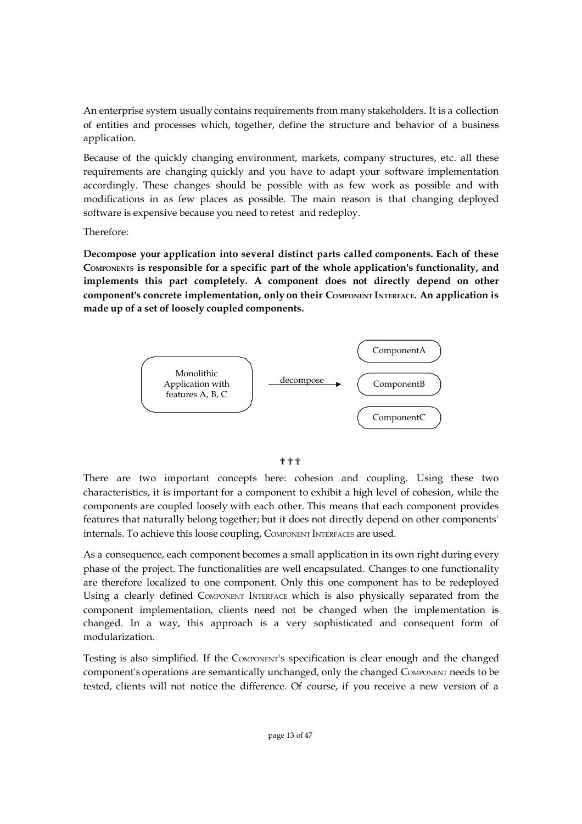An enterprise system usually contains requirements from many stakeholders. It is a collection of entities and processes which, together, define the structure and behavior of a business application.

Because of the quickly changing environment, markets, company structures, etc. all these requirements are changing quickly and you have to adapt your software implementation accordingly. These changes should be possible with as few work as possible and with modifications in as few places as possible. The main reason is that changing deployed software is expensive because you need to retest and redeploy.

Therefore:

**Decompose your application into several distinct parts called components. Each of these COMPONENTS is responsible for a specific part of the whole application's functionality, and implements this part completely. A component does not directly depend on other component's concrete implementation, only on their COMPONENT INTERFACE. An application is made up of a set of loosely coupled components.**



???

There are two important concepts here: cohesion and coupling. Using these two characteristics, it is important for a component to exhibit a high level of cohesion, while the components are coupled loosely with each other. This means that each component provides features that naturally belong together; but it does not directly depend on other components' internals. To achieve this loose coupling, COMPONENT INTERFACES are used.

As a consequence, each component becomes a small application in its own right during every phase of the project. The functionalities are well encapsulated. Changes to one functionality are therefore localized to one component. Only this one component has to be redeployed Using a clearly defined COMPONENT INTERFACE which is also physically separated from the component implementation, clients need not be changed when the implementation is changed. In a way, this approach is a very sophisticated and consequent form of modularization.

Testing is also simplified. If the COMPONENT's specification is clear enough and the changed component's operations are semantically unchanged, only the changed COMPONENT needs to be tested, clients will not notice the difference. Of course, if you receive a new version of a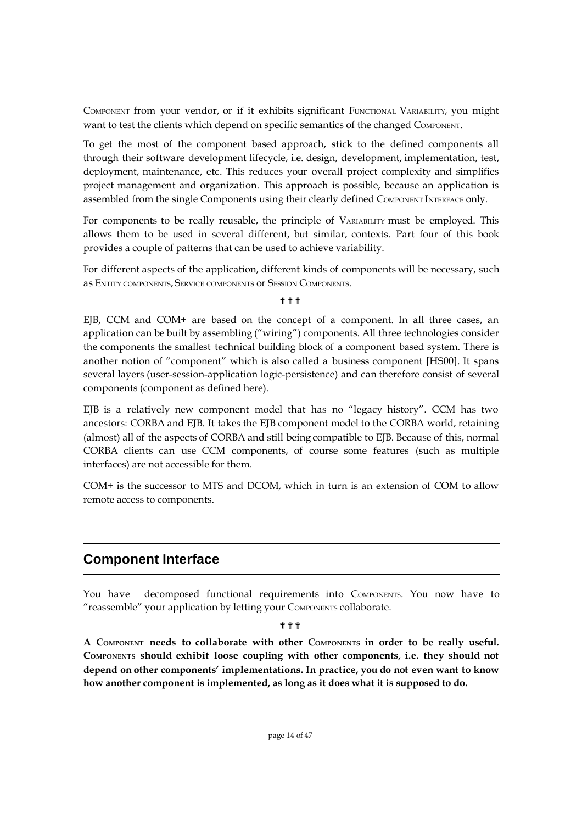COMPONENT from your vendor, or if it exhibits significant FUNCTIONAL VARIABILITY, you might want to test the clients which depend on specific semantics of the changed COMPONENT.

To get the most of the component based approach, stick to the defined components all through their software development lifecycle, i.e. design, development, implementation, test, deployment, maintenance, etc. This reduces your overall project complexity and simplifies project management and organization. This approach is possible, because an application is assembled from the single Components using their clearly defined COMPONENT INTERFACE only.

For components to be really reusable, the principle of VARIABILITY must be employed. This allows them to be used in several different, but similar, contexts. Part four of this book provides a couple of patterns that can be used to achieve variability.

For different aspects of the application, different kinds of components will be necessary, such as ENTITY COMPONENTS, SERVICE COMPONENTS OF SESSION COMPONENTS.

#### ???

EJB, CCM and COM+ are based on the concept of a component. In all three cases, an application can be built by assembling ("wiring") components. All three technologies consider the components the smallest technical building block of a component based system. There is another notion of "component" which is also called a business component [HS00]. It spans several layers (user-session-application logic-persistence) and can therefore consist of several components (component as defined here).

EJB is a relatively new component model that has no "legacy history". CCM has two ancestors: CORBA and EJB. It takes the EJB component model to the CORBA world, retaining (almost) all of the aspects of CORBA and still being compatible to EJB. Because of this, normal CORBA clients can use CCM components, of course some features (such as multiple interfaces) are not accessible for them.

COM+ is the successor to MTS and DCOM, which in turn is an extension of COM to allow remote access to components.

### **Component Interface**

You have decomposed functional requirements into COMPONENTS. You now have to "reassemble" your application by letting your COMPONENTS collaborate.

#### ???

**A COMPONENT needs to collaborate with other COMPONENTS in order to be really useful. COMPONENTS should exhibit loose coupling with other components, i.e. they should not depend on other components' implementations. In practice, you do not even want to know how another component is implemented, as long as it does what it is supposed to do.**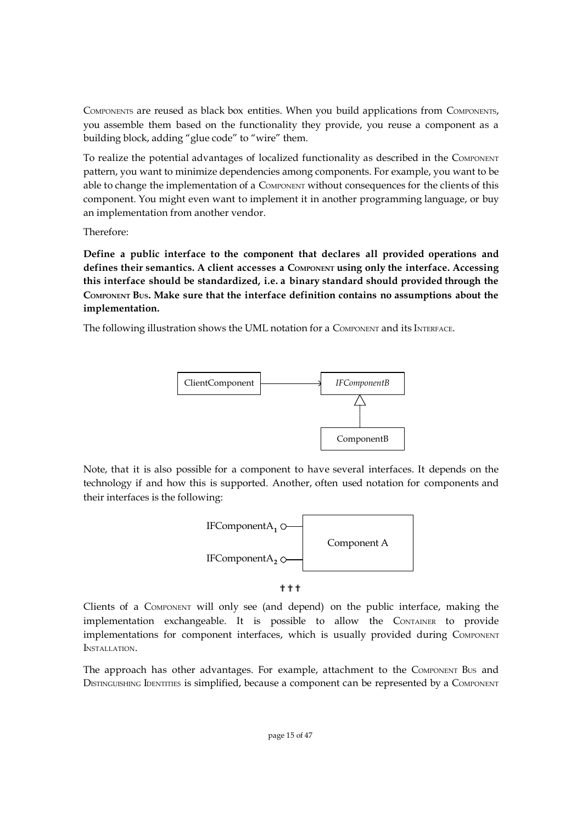COMPONENTS are reused as black box entities. When you build applications from COMPONENTS, you assemble them based on the functionality they provide, you reuse a component as a building block, adding "glue code" to "wire" them.

To realize the potential advantages of localized functionality as described in the COMPONENT pattern, you want to minimize dependencies among components. For example, you want to be able to change the implementation of a COMPONENT without consequences for the clients of this component. You might even want to implement it in another programming language, or buy an implementation from another vendor.

Therefore:

**Define a public interface to the component that declares all provided operations and defines their semantics. A client accesses a COMPONENT using only the interface. Accessing this interface should be standardized, i.e. a binary standard should provided through the COMPONENT BUS. Make sure that the interface definition contains no assumptions about the implementation.**

The following illustration shows the UML notation for a COMPONENT and its INTERFACE.



Note, that it is also possible for a component to have several interfaces. It depends on the technology if and how this is supported. Another, often used notation for components and their interfaces is the following:



???

Clients of a COMPONENT will only see (and depend) on the public interface, making the implementation exchangeable. It is possible to allow the CONTAINER to provide implementations for component interfaces, which is usually provided during COMPONENT INSTALLATION.

The approach has other advantages. For example, attachment to the COMPONENT BUS and DISTINGUISHING IDENTITIES is simplified, because a component can be represented by a COMPONENT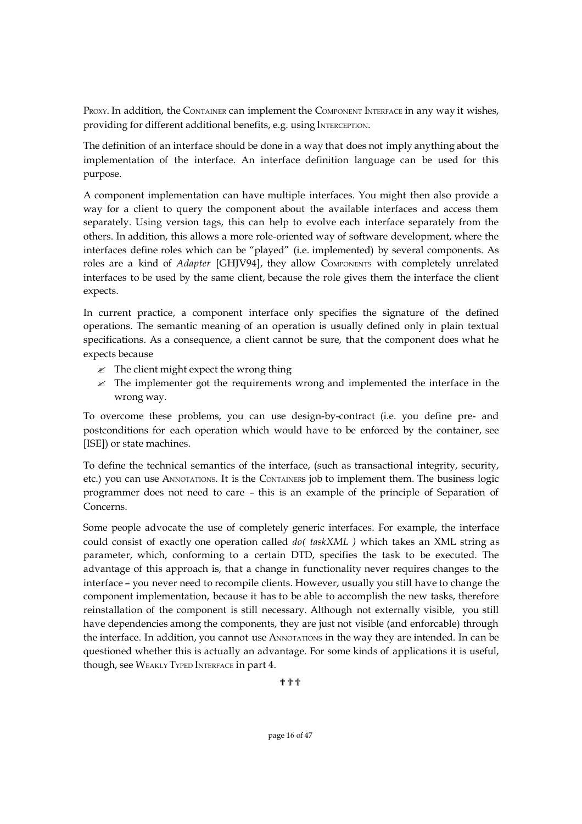PROXY. In addition, the CONTAINER can implement the COMPONENT INTERFACE in any way it wishes, providing for different additional benefits, e.g. using INTERCEPTION.

The definition of an interface should be done in a way that does not imply anything about the implementation of the interface. An interface definition language can be used for this purpose.

A component implementation can have multiple interfaces. You might then also provide a way for a client to query the component about the available interfaces and access them separately. Using version tags, this can help to evolve each interface separately from the others. In addition, this allows a more role-oriented way of software development, where the interfaces define roles which can be "played" (i.e. implemented) by several components. As roles are a kind of *Adapter* [GHJV94], they allow COMPONENTS with completely unrelated interfaces to be used by the same client, because the role gives them the interface the client expects.

In current practice, a component interface only specifies the signature of the defined operations. The semantic meaning of an operation is usually defined only in plain textual specifications. As a consequence, a client cannot be sure, that the component does what he expects because

- $\mathscr Z$  The client might expect the wrong thing
- $\mathscr Z$  The implementer got the requirements wrong and implemented the interface in the wrong way.

To overcome these problems, you can use design-by-contract (i.e. you define pre- and postconditions for each operation which would have to be enforced by the container, see [ISE]) or state machines.

To define the technical semantics of the interface, (such as transactional integrity, security, etc.) you can use ANNOTATIONS. It is the CONTAINERs job to implement them. The business logic programmer does not need to care – this is an example of the principle of Separation of Concerns.

Some people advocate the use of completely generic interfaces. For example, the interface could consist of exactly one operation called *do( taskXML )* which takes an XML string as parameter, which, conforming to a certain DTD, specifies the task to be executed. The advantage of this approach is, that a change in functionality never requires changes to the interface – you never need to recompile clients. However, usually you still have to change the component implementation, because it has to be able to accomplish the new tasks, therefore reinstallation of the component is still necessary. Although not externally visible, you still have dependencies among the components, they are just not visible (and enforcable) through the interface. In addition, you cannot use ANNOTATIONS in the way they are intended. In can be questioned whether this is actually an advantage. For some kinds of applications it is useful, though, see WEAKLY TYPED INTERFACE in part 4.

???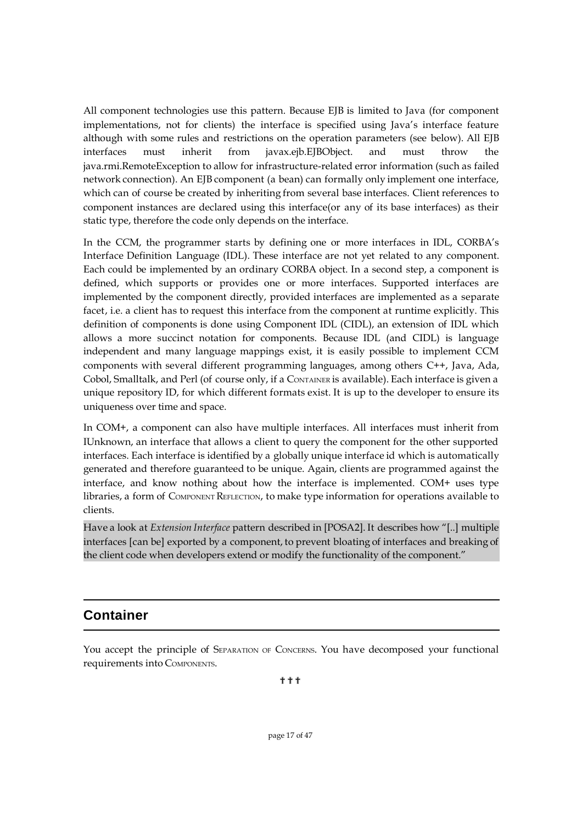All component technologies use this pattern. Because EJB is limited to Java (for component implementations, not for clients) the interface is specified using Java's interface feature although with some rules and restrictions on the operation parameters (see below). All EJB interfaces must inherit from javax.ejb.EJBObject. and must throw the java.rmi.RemoteException to allow for infrastructure-related error information (such as failed network connection). An EJB component (a bean) can formally only implement one interface, which can of course be created by inheriting from several base interfaces. Client references to component instances are declared using this interface(or any of its base interfaces) as their static type, therefore the code only depends on the interface.

In the CCM, the programmer starts by defining one or more interfaces in IDL, CORBA's Interface Definition Language (IDL). These interface are not yet related to any component. Each could be implemented by an ordinary CORBA object. In a second step, a component is defined, which supports or provides one or more interfaces. Supported interfaces are implemented by the component directly, provided interfaces are implemented as a separate facet, i.e. a client has to request this interface from the component at runtime explicitly. This definition of components is done using Component IDL (CIDL), an extension of IDL which allows a more succinct notation for components. Because IDL (and CIDL) is language independent and many language mappings exist, it is easily possible to implement CCM components with several different programming languages, among others C++, Java, Ada, Cobol, Smalltalk, and Perl (of course only, if a CONTAINER is available). Each interface is given a unique repository ID, for which different formats exist. It is up to the developer to ensure its uniqueness over time and space.

In COM+, a component can also have multiple interfaces. All interfaces must inherit from IUnknown, an interface that allows a client to query the component for the other supported interfaces. Each interface is identified by a globally unique interface id which is automatically generated and therefore guaranteed to be unique. Again, clients are programmed against the interface, and know nothing about how the interface is implemented. COM+ uses type libraries, a form of COMPONENT REFLECTION, to make type information for operations available to clients.

Have a look at *Extension Interface* pattern described in [POSA2]. It describes how "[..] multiple interfaces [can be] exported by a component, to prevent bloating of interfaces and breaking of the client code when developers extend or modify the functionality of the component."

## **Container**

You accept the principle of SEPARATION OF CONCERNS. You have decomposed your functional requirements into COMPONENTS.

???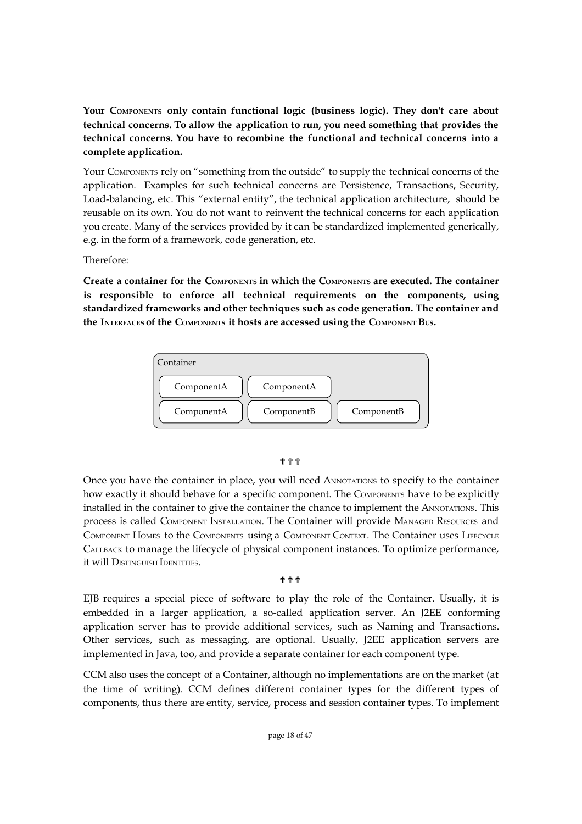**Your COMPONENTS only contain functional logic (business logic). They don't care about technical concerns. To allow the application to run, you need something that provides the technical concerns. You have to recombine the functional and technical concerns into a complete application.**

Your COMPONENTS rely on "something from the outside" to supply the technical concerns of the application. Examples for such technical concerns are Persistence, Transactions, Security, Load-balancing, etc. This "external entity", the technical application architecture, should be reusable on its own. You do not want to reinvent the technical concerns for each application you create. Many of the services provided by it can be standardized implemented generically, e.g. in the form of a framework, code generation, etc.

Therefore:

**Create a container for the COMPONENTS in which the COMPONENTS are executed. The container is responsible to enforce all technical requirements on the components, using standardized frameworks and other techniques such as code generation. The container and the INTERFACES of the COMPONENTS it hosts are accessed using the COMPONENT BUS.**



#### ???

Once you have the container in place, you will need ANNOTATIONS to specify to the container how exactly it should behave for a specific component. The COMPONENTS have to be explicitly installed in the container to give the container the chance to implement the ANNOTATIONS. This process is called COMPONENT INSTALLATION. The Container will provide MANAGED RESOURCES and COMPONENT HOMES to the COMPONENTS using a COMPONENT CONTEXT. The Container uses LIFECYCLE CALLBACK to manage the lifecycle of physical component instances. To optimize performance, it will DISTINGUISH IDENTITIES.

#### ???

EJB requires a special piece of software to play the role of the Container. Usually, it is embedded in a larger application, a so-called application server. An J2EE conforming application server has to provide additional services, such as Naming and Transactions. Other services, such as messaging, are optional. Usually, J2EE application servers are implemented in Java, too, and provide a separate container for each component type.

CCM also uses the concept of a Container, although no implementations are on the market (at the time of writing). CCM defines different container types for the different types of components, thus there are entity, service, process and session container types. To implement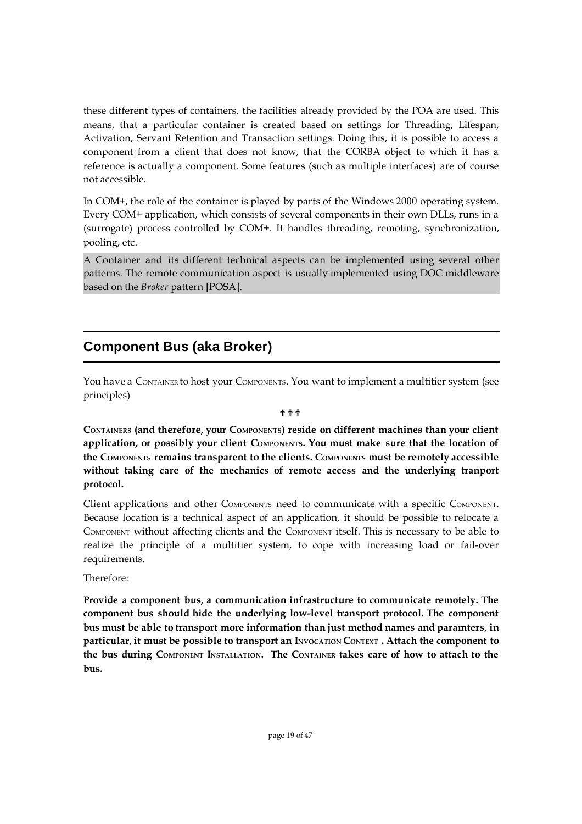these different types of containers, the facilities already provided by the POA are used. This means, that a particular container is created based on settings for Threading, Lifespan, Activation, Servant Retention and Transaction settings. Doing this, it is possible to access a component from a client that does not know, that the CORBA object to which it has a reference is actually a component. Some features (such as multiple interfaces) are of course not accessible.

In COM+, the role of the container is played by parts of the Windows 2000 operating system. Every COM+ application, which consists of several components in their own DLLs, runs in a (surrogate) process controlled by COM+. It handles threading, remoting, synchronization, pooling, etc.

A Container and its different technical aspects can be implemented using several other patterns. The remote communication aspect is usually implemented using DOC middleware based on the *Broker* pattern [POSA].

## **Component Bus (aka Broker)**

You have a CONTAINER to host your COMPONENTS. You want to implement a multitier system (see principles)

#### ???

**CONTAINERS (and therefore, your COMPONENTS) reside on different machines than your client application, or possibly your client COMPONENTS. You must make sure that the location of the COMPONENTS remains transparent to the clients. COMPONENTS must be remotely accessible without taking care of the mechanics of remote access and the underlying tranport protocol.**

Client applications and other COMPONENTS need to communicate with a specific COMPONENT. Because location is a technical aspect of an application, it should be possible to relocate a COMPONENT without affecting clients and the COMPONENT itself. This is necessary to be able to realize the principle of a multitier system, to cope with increasing load or fail-over requirements.

Therefore:

**Provide a component bus, a communication infrastructure to communicate remotely. The component bus should hide the underlying low-level transport protocol. The component bus must be able to transport more information than just method names and paramters, in particular, it must be possible to transport an INVOCATION CONTEXT . Attach the component to the bus during COMPONENT INSTALLATION. The CONTAINER takes care of how to attach to the bus.**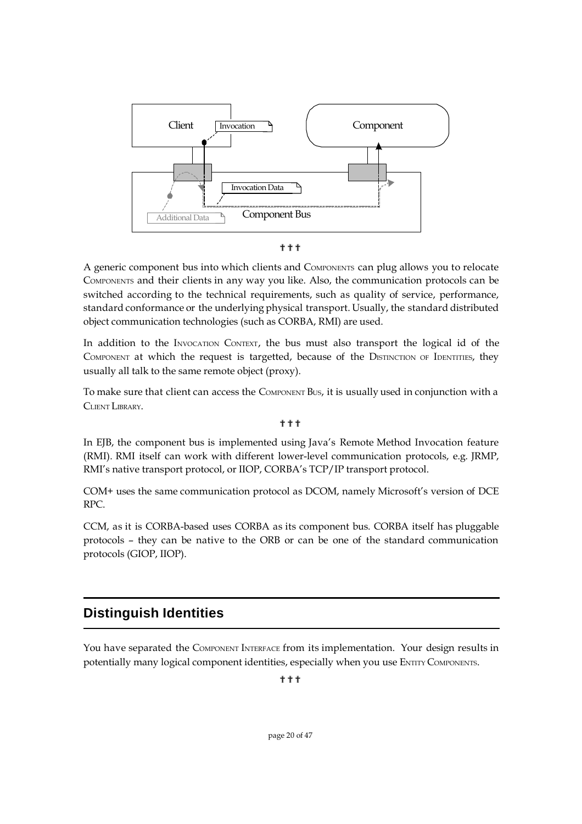

???

A generic component bus into which clients and COMPONENTS can plug allows you to relocate COMPONENTS and their clients in any way you like. Also, the communication protocols can be switched according to the technical requirements, such as quality of service, performance, standard conformance or the underlying physical transport. Usually, the standard distributed object communication technologies (such as CORBA, RMI) are used.

In addition to the INVOCATION CONTEXT, the bus must also transport the logical id of the COMPONENT at which the request is targetted, because of the DISTINCTION OF IDENTITIES, they usually all talk to the same remote object (proxy).

To make sure that client can access the COMPONENT BUS, it is usually used in conjunction with a CLIENT LIBRARY.

???

In EJB, the component bus is implemented using Java's Remote Method Invocation feature (RMI). RMI itself can work with different lower-level communication protocols, e.g. JRMP, RMI's native transport protocol, or IIOP, CORBA's TCP/IP transport protocol.

COM+ uses the same communication protocol as DCOM, namely Microsoft's version of DCE RPC.

CCM, as it is CORBA-based uses CORBA as its component bus. CORBA itself has pluggable protocols – they can be native to the ORB or can be one of the standard communication protocols (GIOP, IIOP).

## **Distinguish Identities**

You have separated the COMPONENT INTERFACE from its implementation. Your design results in potentially many logical component identities, especially when you use ENTITY COMPONENTS.

???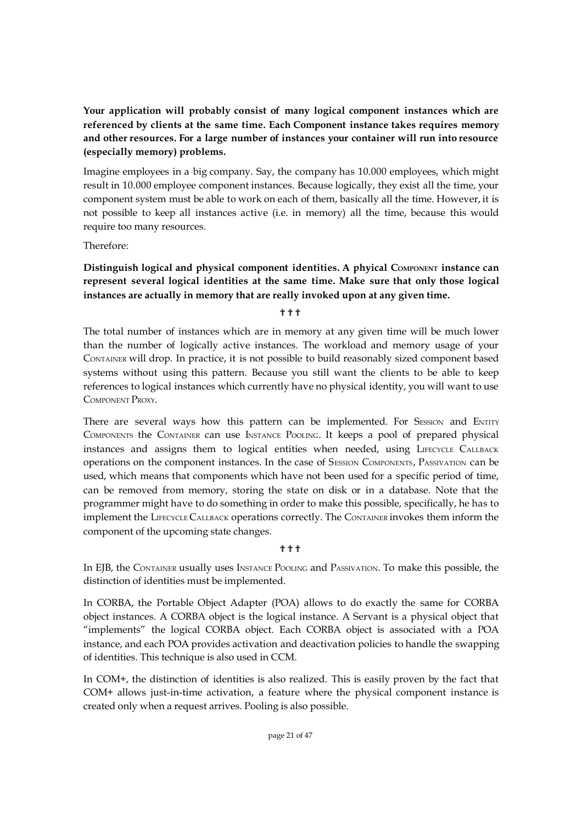**Your application will probably consist of many logical component instances which are referenced by clients at the same time. Each Component instance takes requires memory and other resources. For a large number of instances your container will run into resource (especially memory) problems.**

Imagine employees in a big company. Say, the company has 10.000 employees, which might result in 10.000 employee component instances. Because logically, they exist all the time, your component system must be able to work on each of them, basically all the time. However, it is not possible to keep all instances active (i.e. in memory) all the time, because this would require too many resources.

Therefore:

#### **Distinguish logical and physical component identities. A phyical COMPONENT instance can represent several logical identities at the same time. Make sure that only those logical instances are actually in memory that are really invoked upon at any given time.**

???

The total number of instances which are in memory at any given time will be much lower than the number of logically active instances. The workload and memory usage of your CONTAINER will drop. In practice, it is not possible to build reasonably sized component based systems without using this pattern. Because you still want the clients to be able to keep references to logical instances which currently have no physical identity, you will want to use COMPONENT PROXY.

There are several ways how this pattern can be implemented. For SESSION and ENTITY COMPONENTS the CONTAINER can use INSTANCE POOLING. It keeps a pool of prepared physical instances and assigns them to logical entities when needed, using LIFECYCLE CALLBACK operations on the component instances. In the case of SESSION COMPONENTS, PASSIVATION can be used, which means that components which have not been used for a specific period of time, can be removed from memory, storing the state on disk or in a database. Note that the programmer might have to do something in order to make this possible, specifically, he has to implement the LIFECYCLE CALLBACK operations correctly. The CONTAINER invokes them inform the component of the upcoming state changes.

#### **...**<br>?

In EJB, the CONTAINER usually uses INSTANCE POOLING and PASSIVATION. To make this possible, the distinction of identities must be implemented.

In CORBA, the Portable Object Adapter (POA) allows to do exactly the same for CORBA object instances. A CORBA object is the logical instance. A Servant is a physical object that "implements" the logical CORBA object. Each CORBA object is associated with a POA instance, and each POA provides activation and deactivation policies to handle the swapping of identities. This technique is also used in CCM.

In COM+, the distinction of identities is also realized. This is easily proven by the fact that COM+ allows just-in-time activation, a feature where the physical component instance is created only when a request arrives. Pooling is also possible.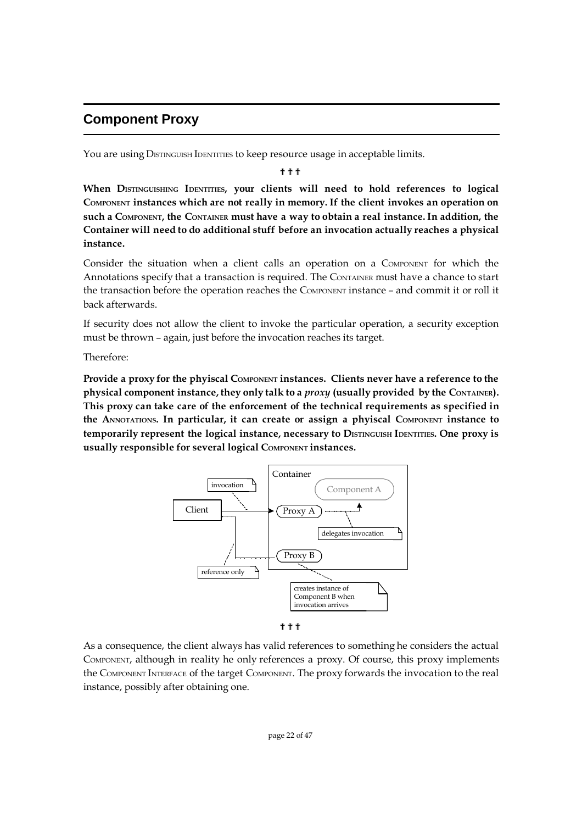## **Component Proxy**

You are using DISTINGUISH IDENTITIES to keep resource usage in acceptable limits.

???

**When DISTINGUISHING IDENTITIES, your clients will need to hold references to logical COMPONENT instances which are not really in memory. If the client invokes an operation on such a COMPONENT, the CONTAINER must have a way to obtain a real instance.In addition, the Container will need to do additional stuff before an invocation actually reaches a physical instance.**

Consider the situation when a client calls an operation on a COMPONENT for which the Annotations specify that a transaction is required. The CONTAINER must have a chance to start the transaction before the operation reaches the COMPONENT instance – and commit it or roll it back afterwards.

If security does not allow the client to invoke the particular operation, a security exception must be thrown – again, just before the invocation reaches its target.

Therefore:

**Provide a proxy for the phyiscal COMPONENT instances. Clients never have a reference to the physical component instance, they only talk to a** *proxy* **(usually provided by the CONTAINER). This proxy can take care of the enforcement of the technical requirements as specified in the ANNOTATIONS. In particular, it can create or assign a phyiscal COMPONENT instance to temporarily represent the logical instance, necessary to DISTINGUISH IDENTITIES. One proxy is usually responsible for several logical COMPONENT instances.**



???

As a consequence, the client always has valid references to something he considers the actual COMPONENT, although in reality he only references a proxy. Of course, this proxy implements the COMPONENT INTERFACE of the target COMPONENT. The proxy forwards the invocation to the real instance, possibly after obtaining one.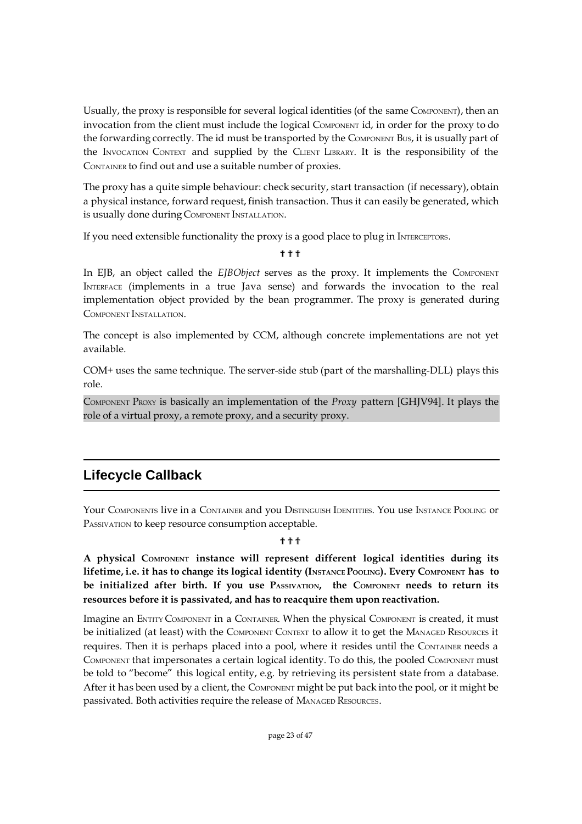Usually, the proxy is responsible for several logical identities (of the same COMPONENT), then an invocation from the client must include the logical COMPONENT id, in order for the proxy to do the forwarding correctly. The id must be transported by the COMPONENT BUS, it is usually part of the INVOCATION CONTEXT and supplied by the CLIENT LIBRARY. It is the responsibility of the CONTAINER to find out and use a suitable number of proxies.

The proxy has a quite simple behaviour: check security, start transaction (if necessary), obtain a physical instance, forward request, finish transaction. Thus it can easily be generated, which is usually done during COMPONENT INSTALLATION.

If you need extensible functionality the proxy is a good place to plug in INTERCEPTORS.

#### ???

In EJB, an object called the *EJBObject* serves as the proxy. It implements the COMPONENT INTERFACE (implements in a true Java sense) and forwards the invocation to the real implementation object provided by the bean programmer. The proxy is generated during COMPONENT INSTALLATION.

The concept is also implemented by CCM, although concrete implementations are not yet available.

COM+ uses the same technique. The server-side stub (part of the marshalling-DLL) plays this role.

COMPONENT PROXY is basically an implementation of the *Proxy* pattern [GHJV94]. It plays the role of a virtual proxy, a remote proxy, and a security proxy.

## **Lifecycle Callback**

Your COMPONENTS live in a CONTAINER and you DISTINGUISH IDENTITIES. You use INSTANCE POOLING or PASSIVATION to keep resource consumption acceptable.

#### ግ ግ

**A physical COMPONENT instance will represent different logical identities during its** lifetime, i.e. it has to change its logical identity (INSTANCE POOLING). Every COMPONENT has to **be initialized after birth. If you use PASSIVATION, the COMPONENT needs to return its resources before it is passivated, and has to reacquire them upon reactivation.**

Imagine an ENTITY COMPONENT in a CONTAINER. When the physical COMPONENT is created, it must be initialized (at least) with the COMPONENT CONTEXT to allow it to get the MANAGED RESOURCES it requires. Then it is perhaps placed into a pool, where it resides until the CONTAINER needs a COMPONENT that impersonates a certain logical identity. To do this, the pooled COMPONENT must be told to "become" this logical entity, e.g. by retrieving its persistent state from a database. After it has been used by a client, the COMPONENT might be put back into the pool, or it might be passivated. Both activities require the release of MANAGED RESOURCES.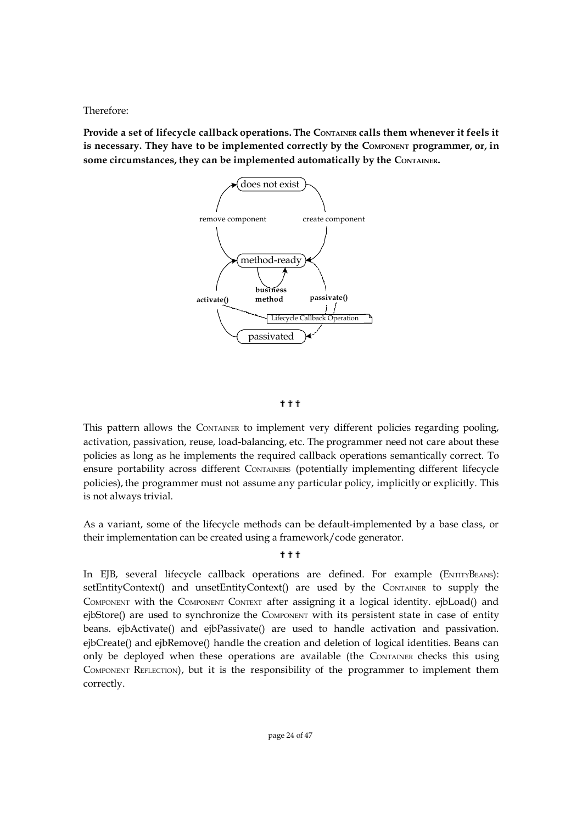Therefore:

**Provide a set of lifecycle callback operations. The CONTAINER calls them whenever it feels it is necessary. They have to be implemented correctly by the COMPONENT programmer, or, in some circumstances, they can be implemented automatically by the CONTAINER.**



#### ???

This pattern allows the CONTAINER to implement very different policies regarding pooling, activation, passivation, reuse, load-balancing, etc. The programmer need not care about these policies as long as he implements the required callback operations semantically correct. To ensure portability across different CONTAINERS (potentially implementing different lifecycle policies), the programmer must not assume any particular policy, implicitly or explicitly. This is not always trivial.

As a variant, some of the lifecycle methods can be default-implemented by a base class, or their implementation can be created using a framework/code generator.

#### ???

In EJB, several lifecycle callback operations are defined. For example (ENTITYBEANS): setEntityContext() and unsetEntityContext() are used by the CONTAINER to supply the COMPONENT with the COMPONENT CONTEXT after assigning it a logical identity. ejbLoad() and ejbStore() are used to synchronize the COMPONENT with its persistent state in case of entity beans. ejbActivate() and ejbPassivate() are used to handle activation and passivation. ejbCreate() and ejbRemove() handle the creation and deletion of logical identities. Beans can only be deployed when these operations are available (the CONTAINER checks this using COMPONENT REFLECTION), but it is the responsibility of the programmer to implement them correctly.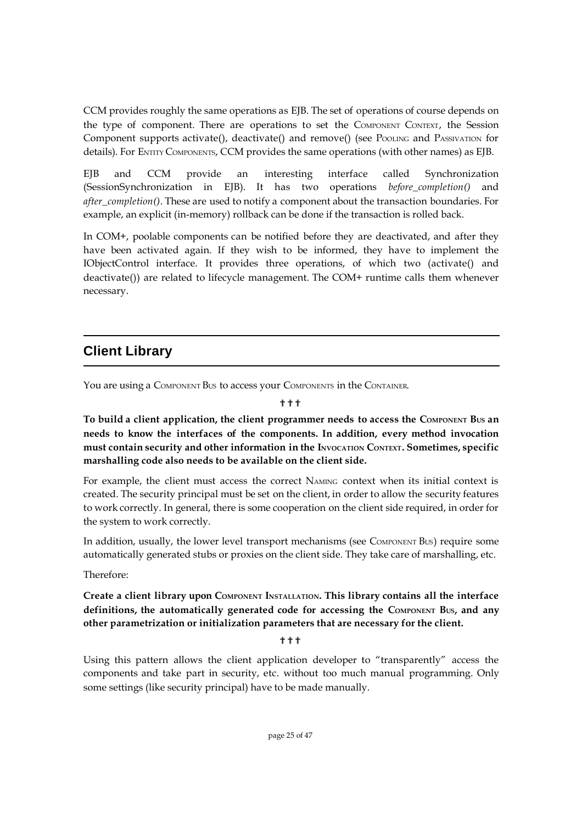CCM provides roughly the same operations as EJB. The set of operations of course depends on the type of component. There are operations to set the COMPONENT CONTEXT, the Session Component supports activate(), deactivate() and remove() (see POOLING and PASSIVATION for details). For ENTITY COMPONENTS, CCM provides the same operations (with other names) as EJB.

EJB and CCM provide an interesting interface called Synchronization (SessionSynchronization in EJB). It has two operations *before\_completion()* and *after\_completion()*. These are used to notify a component about the transaction boundaries. For example, an explicit (in-memory) rollback can be done if the transaction is rolled back.

In COM+, poolable components can be notified before they are deactivated, and after they have been activated again. If they wish to be informed, they have to implement the IObjectControl interface. It provides three operations, of which two (activate() and deactivate()) are related to lifecycle management. The COM+ runtime calls them whenever necessary.

## **Client Library**

You are using a COMPONENT Bus to access your COMPONENTS in the CONTAINER.

#### **...**<br>?

**To build a client application, the client programmer needs to access the COMPONENT BUS an needs to know the interfaces of the components. In addition, every method invocation must contain security and other information in the INVOCATION CONTEXT. Sometimes, specific marshalling code also needs to be available on the client side.**

For example, the client must access the correct NAMING context when its initial context is created. The security principal must be set on the client, in order to allow the security features to work correctly. In general, there is some cooperation on the client side required, in order for the system to work correctly.

In addition, usually, the lower level transport mechanisms (see COMPONENT Bus) require some automatically generated stubs or proxies on the client side. They take care of marshalling, etc.

Therefore:

**Create a client library upon COMPONENT INSTALLATION. This library contains all the interface definitions, the automatically generated code for accessing the COMPONENT BUS, and any other parametrization or initialization parameters that are necessary for the client.**

???

Using this pattern allows the client application developer to "transparently" access the components and take part in security, etc. without too much manual programming. Only some settings (like security principal) have to be made manually.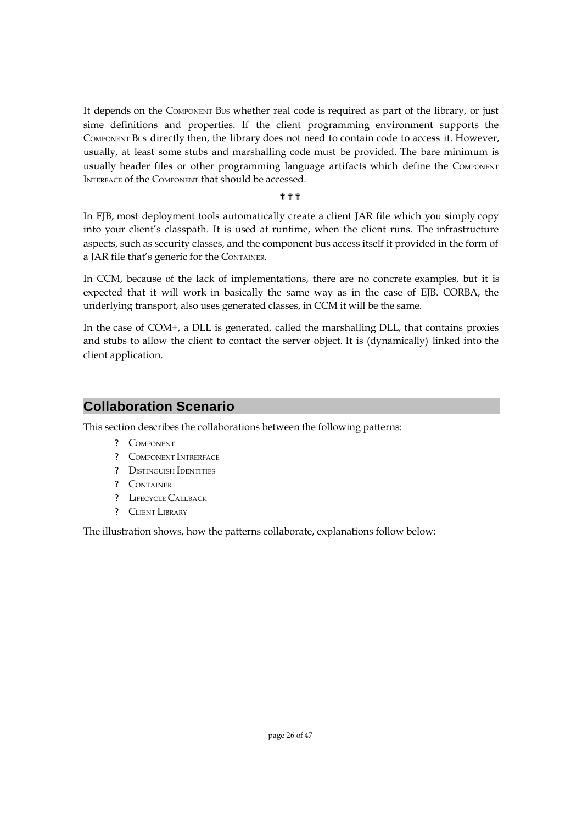It depends on the COMPONENT BUS whether real code is required as part of the library, or just sime definitions and properties. If the client programming environment supports the COMPONENT BUS directly then, the library does not need to contain code to access it. However, usually, at least some stubs and marshalling code must be provided. The bare minimum is usually header files or other programming language artifacts which define the COMPONENT INTERFACE of the COMPONENT that should be accessed.

#### **中中中**

In EJB, most deployment tools automatically create a client JAR file which you simply copy into your client's classpath. It is used at runtime, when the client runs. The infrastructure aspects, such as security classes, and the component bus access itself it provided in the form of a JAR file that's generic for the CONTAINER.

In CCM, because of the lack of implementations, there are no concrete examples, but it is expected that it will work in basically the same way as in the case of EJB. CORBA, the underlying transport, also uses generated classes, in CCM it will be the same.

In the case of COM+, a DLL is generated, called the marshalling DLL, that contains proxies and stubs to allow the client to contact the server object. It is (dynamically) linked into the client application.

### **Collaboration Scenario**

This section describes the collaborations between the following patterns:

- ? COMPONENT
- ? COMPONENT INTRERFACE
- ? DISTINGUISH IDENTITIES
- ? CONTAINER
- ? LIFECYCLE CALLBACK
- ? CLIENT LIBRARY

The illustration shows, how the patterns collaborate, explanations follow below: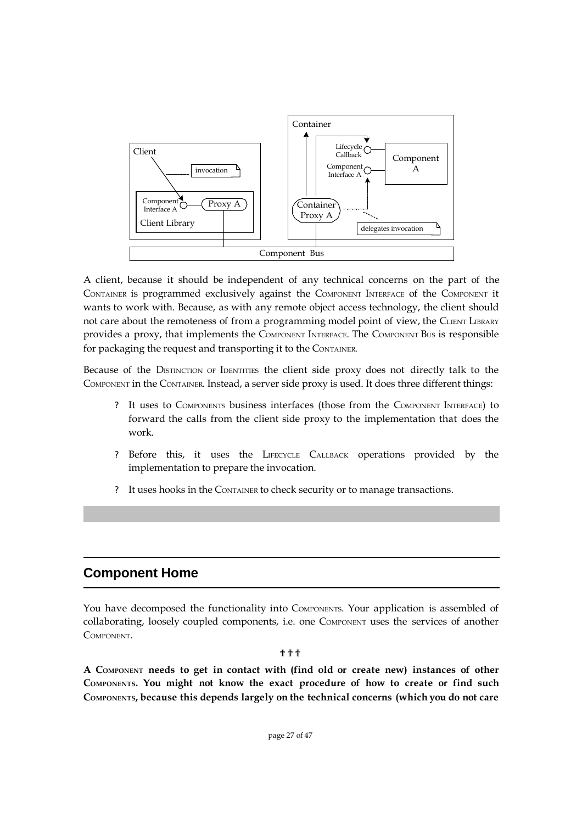

A client, because it should be independent of any technical concerns on the part of the CONTAINER is programmed exclusively against the COMPONENT INTERFACE of the COMPONENT it wants to work with. Because, as with any remote object access technology, the client should not care about the remoteness of from a programming model point of view, the CLIENT LIBRARY provides a proxy, that implements the COMPONENT INTERFACE. The COMPONENT BUS is responsible for packaging the request and transporting it to the CONTAINER.

Because of the DISTINCTION OF IDENTITIES the client side proxy does not directly talk to the COMPONENT in the CONTAINER. Instead, a server side proxy is used. It does three different things:

- ? It uses to COMPONENTS business interfaces (those from the COMPONENT INTERFACE) to forward the calls from the client side proxy to the implementation that does the work.
- ? Before this, it uses the LIFECYCLE CALLBACK operations provided by the implementation to prepare the invocation.
- ? It uses hooks in the CONTAINER to check security or to manage transactions.

### **Component Home**

You have decomposed the functionality into COMPONENTS. Your application is assembled of collaborating, loosely coupled components, i.e. one COMPONENT uses the services of another COMPONENT.

#### ???

**A COMPONENT needs to get in contact with (find old or create new) instances of other COMPONENTS. You might not know the exact procedure of how to create or find such COMPONENTS, because this depends largely on the technical concerns (which you do not care**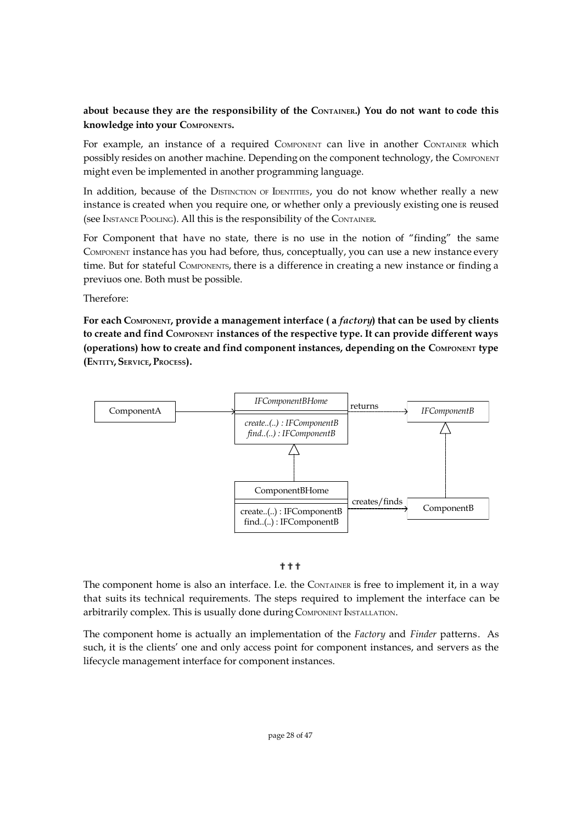#### **about because they are the responsibility of the CONTAINER.) You do not want to code this knowledge into your COMPONENTS.**

For example, an instance of a required COMPONENT can live in another CONTAINER which possibly resides on another machine. Depending on the component technology, the COMPONENT might even be implemented in another programming language.

In addition, because of the DISTINCTION OF IDENTITIES, you do not know whether really a new instance is created when you require one, or whether only a previously existing one is reused (see INSTANCE POOLING). All this is the responsibility of the CONTAINER.

For Component that have no state, there is no use in the notion of "finding" the same COMPONENT instance has you had before, thus, conceptually, you can use a new instance every time. But for stateful COMPONENTS, there is a difference in creating a new instance or finding a previuos one. Both must be possible.

Therefore:

**For each COMPONENT, provide a management interface ( a** *factory***) that can be used by clients to create and find COMPONENT instances of the respective type. It can provide different ways (operations) how to create and find component instances, depending on the COMPONENT type (ENTITY, SERVICE, PROCESS).**



#### ???

The component home is also an interface. I.e. the CONTAINER is free to implement it, in a way that suits its technical requirements. The steps required to implement the interface can be arbitrarily complex. This is usually done during COMPONENT INSTALLATION.

The component home is actually an implementation of the *Factory* and *Finder* patterns. As such, it is the clients' one and only access point for component instances, and servers as the lifecycle management interface for component instances.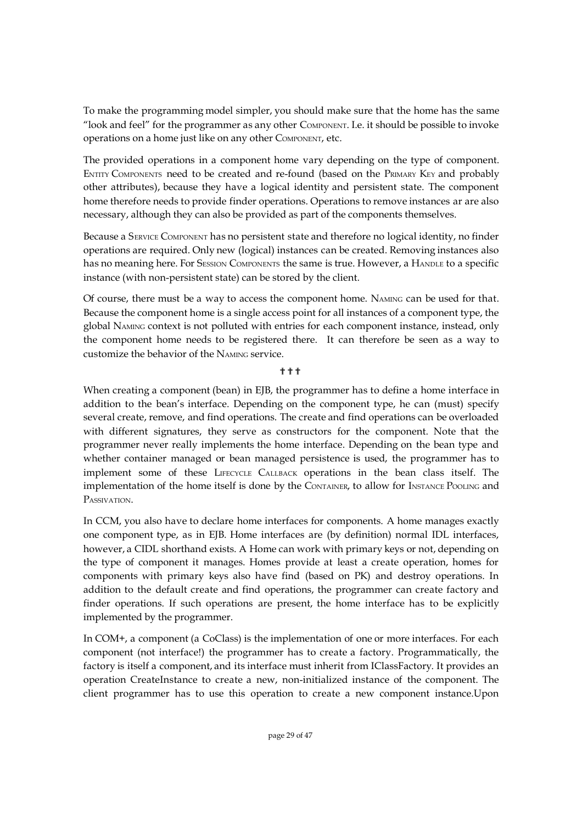To make the programming model simpler, you should make sure that the home has the same "look and feel" for the programmer as any other COMPONENT. I.e. it should be possible to invoke operations on a home just like on any other COMPONENT, etc.

The provided operations in a component home vary depending on the type of component. ENTITY COMPONENTS need to be created and re-found (based on the PRIMARY KEY and probably other attributes), because they have a logical identity and persistent state. The component home therefore needs to provide finder operations. Operations to remove instances ar are also necessary, although they can also be provided as part of the components themselves.

Because a SERVICE COMPONENT has no persistent state and therefore no logical identity, no finder operations are required. Only new (logical) instances can be created. Removing instances also has no meaning here. For SESSION COMPONENTS the same is true. However, a HANDLE to a specific instance (with non-persistent state) can be stored by the client.

Of course, there must be a way to access the component home. NAMING can be used for that. Because the component home is a single access point for all instances of a component type, the global NAMING context is not polluted with entries for each component instance, instead, only the component home needs to be registered there. It can therefore be seen as a way to customize the behavior of the NAMING service.

#### ???

When creating a component (bean) in EJB, the programmer has to define a home interface in addition to the bean's interface. Depending on the component type, he can (must) specify several create, remove, and find operations. The create and find operations can be overloaded with different signatures, they serve as constructors for the component. Note that the programmer never really implements the home interface. Depending on the bean type and whether container managed or bean managed persistence is used, the programmer has to implement some of these LIFECYCLE CALLBACK operations in the bean class itself. The implementation of the home itself is done by the CONTAINER, to allow for INSTANCE POOLING and PASSIVATION.

In CCM, you also have to declare home interfaces for components. A home manages exactly one component type, as in EJB. Home interfaces are (by definition) normal IDL interfaces, however, a CIDL shorthand exists. A Home can work with primary keys or not, depending on the type of component it manages. Homes provide at least a create operation, homes for components with primary keys also have find (based on PK) and destroy operations. In addition to the default create and find operations, the programmer can create factory and finder operations. If such operations are present, the home interface has to be explicitly implemented by the programmer.

In COM+, a component (a CoClass) is the implementation of one or more interfaces. For each component (not interface!) the programmer has to create a factory. Programmatically, the factory is itself a component, and its interface must inherit from IClassFactory. It provides an operation CreateInstance to create a new, non-initialized instance of the component. The client programmer has to use this operation to create a new component instance.Upon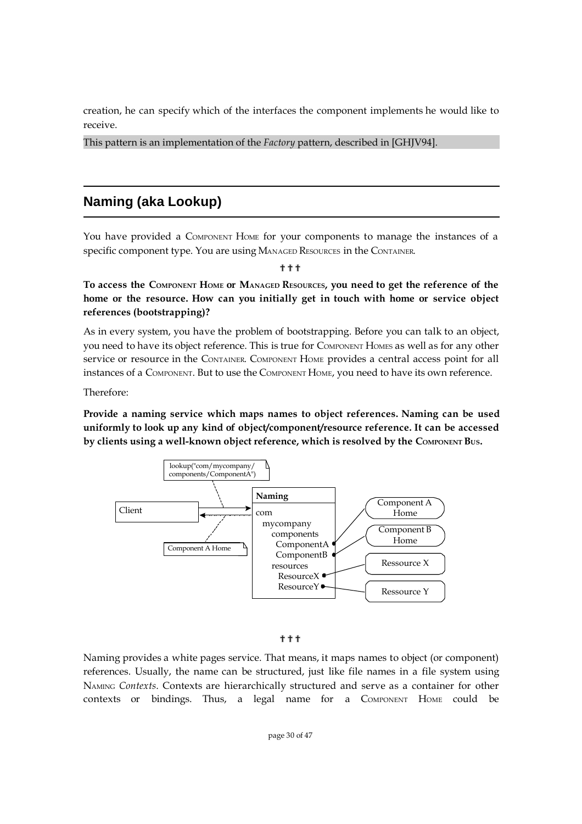creation, he can specify which of the interfaces the component implements he would like to receive.

This pattern is an implementation of the *Factory* pattern, described in [GHJV94].

## **Naming (aka Lookup)**

You have provided a COMPONENT HOME for your components to manage the instances of a specific component type. You are using MANAGED RESOURCES in the CONTAINER.

???

To access the COMPONENT HOME OF MANAGED RESOURCES, you need to get the reference of the **home or the resource. How can you initially get in touch with home or service object references (bootstrapping)?**

As in every system, you have the problem of bootstrapping. Before you can talk to an object, you need to have its object reference. This is true for COMPONENT HOMES as well as for any other service or resource in the CONTAINER. COMPONENT HOME provides a central access point for all instances of a COMPONENT. But to use the COMPONENT HOME, you need to have its own reference.

Therefore:

**Provide a naming service which maps names to object references. Naming can be used uniformly to look up any kind of object/component/resource reference. It can be accessed by clients using a well-known object reference, which is resolved by the COMPONENT BUS.**



#### ???

Naming provides a white pages service. That means, it maps names to object (or component) references. Usually, the name can be structured, just like file names in a file system using NAMING *Contexts*. Contexts are hierarchically structured and serve as a container for other contexts or bindings. Thus, a legal name for a COMPONENT HOME could be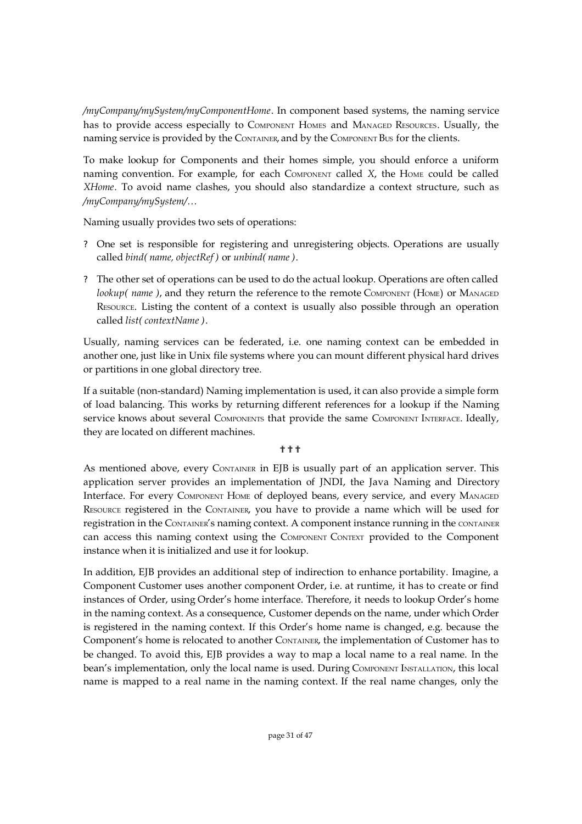*/myCompany/mySystem/myComponentHome*. In component based systems, the naming service has to provide access especially to COMPONENT HOMES and MANAGED RESOURCES. Usually, the naming service is provided by the CONTAINER, and by the COMPONENT BUS for the clients.

To make lookup for Components and their homes simple, you should enforce a uniform naming convention. For example, for each COMPONENT called *X*, the HOME could be called *XHome*. To avoid name clashes, you should also standardize a context structure, such as */myCompany/mySystem/…*

Naming usually provides two sets of operations:

- ? One set is responsible for registering and unregistering objects. Operations are usually called *bind( name, objectRef )* or *unbind( name )*.
- ? The other set of operations can be used to do the actual lookup. Operations are often called *lookup( name)*, and they return the reference to the remote COMPONENT (HOME) or MANAGED RESOURCE. Listing the content of a context is usually also possible through an operation called *list( contextName )*.

Usually, naming services can be federated, i.e. one naming context can be embedded in another one, just like in Unix file systems where you can mount different physical hard drives or partitions in one global directory tree.

If a suitable (non-standard) Naming implementation is used, it can also provide a simple form of load balancing. This works by returning different references for a lookup if the Naming service knows about several COMPONENTS that provide the same COMPONENT INTERFACE. Ideally, they are located on different machines.

#### ???

As mentioned above, every CONTAINER in EJB is usually part of an application server. This application server provides an implementation of JNDI, the Java Naming and Directory Interface. For every COMPONENT HOME of deployed beans, every service, and every MANAGED RESOURCE registered in the CONTAINER, you have to provide a name which will be used for registration in the CONTAINER's naming context. A component instance running in the CONTAINER can access this naming context using the COMPONENT CONTEXT provided to the Component instance when it is initialized and use it for lookup.

In addition, EJB provides an additional step of indirection to enhance portability. Imagine, a Component Customer uses another component Order, i.e. at runtime, it has to create or find instances of Order, using Order's home interface. Therefore, it needs to lookup Order's home in the naming context. As a consequence, Customer depends on the name, under which Order is registered in the naming context. If this Order's home name is changed, e.g. because the Component's home is relocated to another CONTAINER, the implementation of Customer has to be changed. To avoid this, EJB provides a way to map a local name to a real name. In the bean's implementation, only the local name is used. During COMPONENT INSTALLATION, this local name is mapped to a real name in the naming context. If the real name changes, only the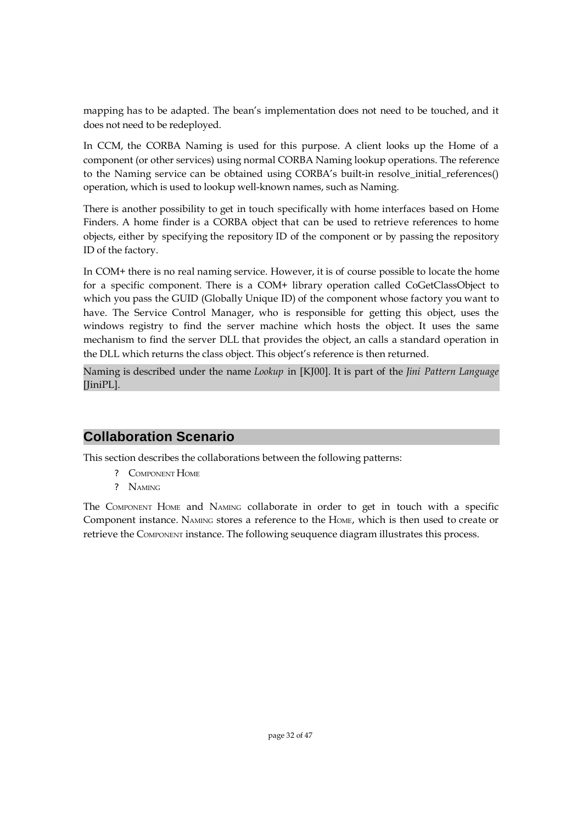mapping has to be adapted. The bean's implementation does not need to be touched, and it does not need to be redeployed.

In CCM, the CORBA Naming is used for this purpose. A client looks up the Home of a component (or other services) using normal CORBA Naming lookup operations. The reference to the Naming service can be obtained using CORBA's built-in resolve\_initial\_references() operation, which is used to lookup well-known names, such as Naming.

There is another possibility to get in touch specifically with home interfaces based on Home Finders. A home finder is a CORBA object that can be used to retrieve references to home objects, either by specifying the repository ID of the component or by passing the repository ID of the factory.

In COM+ there is no real naming service. However, it is of course possible to locate the home for a specific component. There is a COM+ library operation called CoGetClassObject to which you pass the GUID (Globally Unique ID) of the component whose factory you want to have. The Service Control Manager, who is responsible for getting this object, uses the windows registry to find the server machine which hosts the object. It uses the same mechanism to find the server DLL that provides the object, an calls a standard operation in the DLL which returns the class object. This object's reference is then returned.

Naming is described under the name *Lookup* in [KJ00]. It is part of the *Jini Pattern Language* [JiniPL].

## **Collaboration Scenario**

This section describes the collaborations between the following patterns:

- ? COMPONENT HOME
- ? NAMING

The COMPONENT HOME and NAMING collaborate in order to get in touch with a specific Component instance. NAMING stores a reference to the HOME, which is then used to create or retrieve the COMPONENT instance. The following seuquence diagram illustrates this process.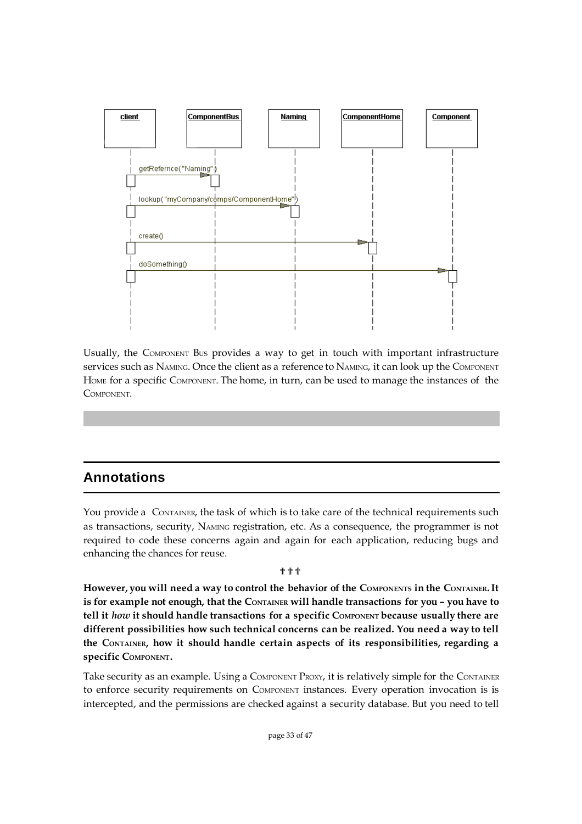

Usually, the COMPONENT BUS provides a way to get in touch with important infrastructure Services such as NAMING. Once the client as a reference to NAMING, it can look up the COMPONENT HOME for a specific COMPONENT. The home, in turn, can be used to manage the instances of the **COMPONENT** 

## **Annotations**

You provide a CONTAINER, the task of which is to take care of the technical requirements such as transactions, security, NAMING registration, etc. As a consequence, the programmer is not required to code these concerns again and again for each application, reducing bugs and enhancing the chances for reuse.

#### ???

**However, you will need a way to control the behavior of the COMPONENTS in the CONTAINER.It is for example not enough, that the CONTAINER will handle transactions for you – you have to tell it** *how* **it should handle transactions for a specific COMPONENT because usually there are different possibilities how such technical concerns can be realized. You need a way to tell the CONTAINER, how it should handle certain aspects of its responsibilities, regarding a specific COMPONENT.**

Take security as an example. Using a COMPONENT PROXY, it is relatively simple for the CONTAINER to enforce security requirements on COMPONENT instances. Every operation invocation is is intercepted, and the permissions are checked against a security database. But you need to tell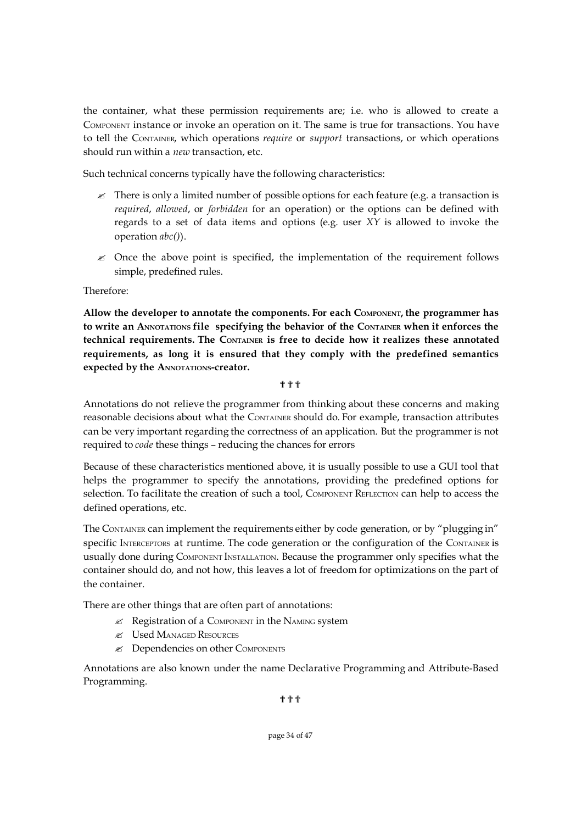the container, what these permission requirements are; i.e. who is allowed to create a COMPONENT instance or invoke an operation on it. The same is true for transactions. You have to tell the CONTAINER, which operations *require* or *support* transactions, or which operations should run within a *new* transaction, etc.

Such technical concerns typically have the following characteristics:

- $\mathcal{L}$  There is only a limited number of possible options for each feature (e.g. a transaction is *required*, *allowed*, or *forbidden* for an operation) or the options can be defined with regards to a set of data items and options (e.g. user *XY* is allowed to invoke the operation *abc()*).
- $\mathscr Z$  Once the above point is specified, the implementation of the requirement follows simple, predefined rules.

Therefore:

**Allow the developer to annotate the components. For each COMPONENT, the programmer has to write an ANNOTATIONS file specifying the behavior of the CONTAINER when it enforces the technical requirements. The CONTAINER is free to decide how it realizes these annotated requirements, as long it is ensured that they comply with the predefined semantics expected by the ANNOTATIONS-creator.**

???

Annotations do not relieve the programmer from thinking about these concerns and making reasonable decisions about what the CONTAINER should do. For example, transaction attributes can be very important regarding the correctness of an application. But the programmer is not required to *code* these things – reducing the chances for errors

Because of these characteristics mentioned above, it is usually possible to use a GUI tool that helps the programmer to specify the annotations, providing the predefined options for selection. To facilitate the creation of such a tool, COMPONENT REFLECTION can help to access the defined operations, etc.

The CONTAINER can implement the requirements either by code generation, or by "plugging in" specific INTERCEPTORS at runtime. The code generation or the configuration of the CONTAINER is usually done during COMPONENT INSTALLATION. Because the programmer only specifies what the container should do, and not how, this leaves a lot of freedom for optimizations on the part of the container.

There are other things that are often part of annotations:

- $\mathcal{L}$  Registration of a COMPONENT in the NAMING system
- ? Used MANAGED RESOURCES
- ? Dependencies on other COMPONENTS

Annotations are also known under the name Declarative Programming and Attribute-Based Programming.

???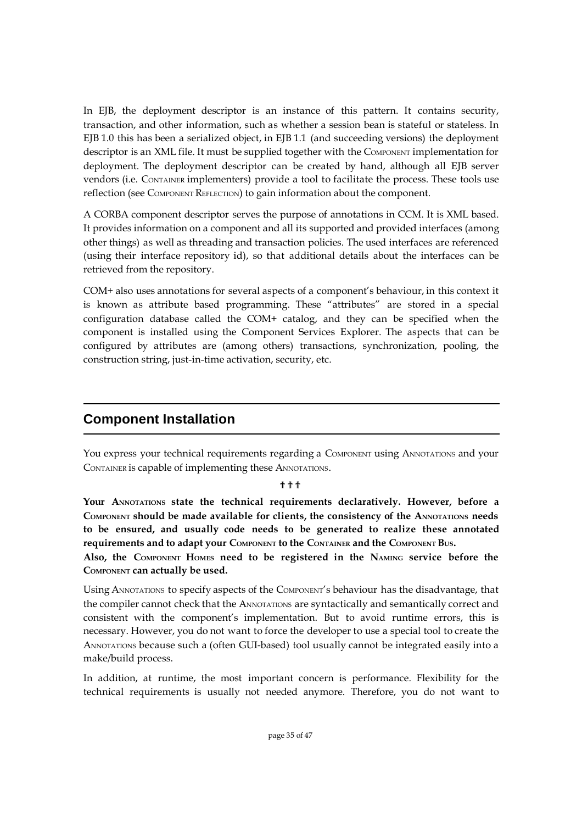In EJB, the deployment descriptor is an instance of this pattern. It contains security, transaction, and other information, such as whether a session bean is stateful or stateless. In EJB 1.0 this has been a serialized object, in EJB 1.1 (and succeeding versions) the deployment descriptor is an XML file. It must be supplied together with the COMPONENT implementation for deployment. The deployment descriptor can be created by hand, although all EJB server vendors (i.e. CONTAINER implementers) provide a tool to facilitate the process. These tools use reflection (see COMPONENT REFLECTION) to gain information about the component.

A CORBA component descriptor serves the purpose of annotations in CCM. It is XML based. It provides information on a component and all its supported and provided interfaces (among other things) as well as threading and transaction policies. The used interfaces are referenced (using their interface repository id), so that additional details about the interfaces can be retrieved from the repository.

COM+ also uses annotations for several aspects of a component's behaviour, in this context it is known as attribute based programming. These "attributes" are stored in a special configuration database called the COM+ catalog, and they can be specified when the component is installed using the Component Services Explorer. The aspects that can be configured by attributes are (among others) transactions, synchronization, pooling, the construction string, just-in-time activation, security, etc.

### **Component Installation**

You express your technical requirements regarding a COMPONENT using ANNOTATIONS and your CONTAINER is capable of implementing these ANNOTATIONS.

???

**Your ANNOTATIONS state the technical requirements declaratively. However, before a COMPONENT should be made available for clients, the consistency of the ANNOTATIONS needs to be ensured, and usually code needs to be generated to realize these annotated requirements and to adapt your COMPONENT to the CONTAINER and the COMPONENT BUS.** 

**Also, the COMPONENT HOMES need to be registered in the NAMING service before the COMPONENT can actually be used.**

Using ANNOTATIONS to specify aspects of the COMPONENT's behaviour has the disadvantage, that the compiler cannot check that the ANNOTATIONS are syntactically and semantically correct and consistent with the component's implementation. But to avoid runtime errors, this is necessary. However, you do not want to force the developer to use a special tool to create the ANNOTATIONS because such a (often GUI-based) tool usually cannot be integrated easily into a make/build process.

In addition, at runtime, the most important concern is performance. Flexibility for the technical requirements is usually not needed anymore. Therefore, you do not want to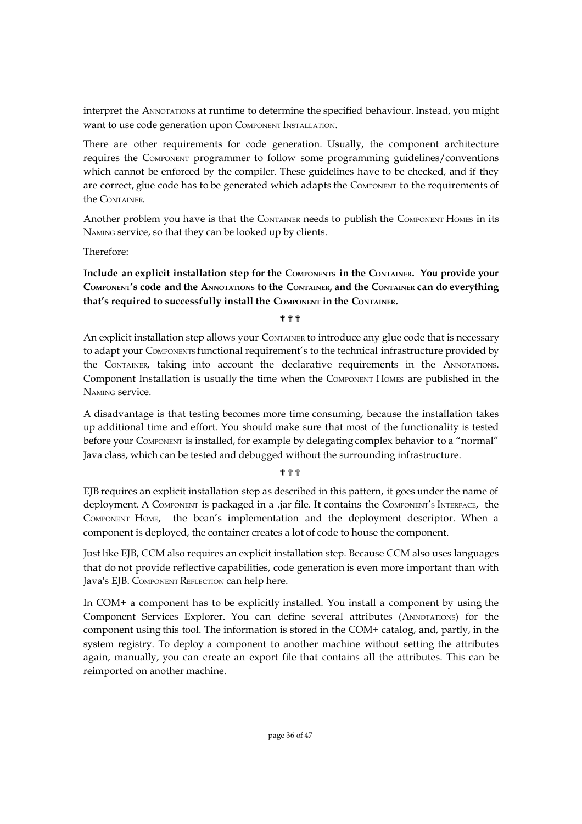interpret the ANNOTATIONS at runtime to determine the specified behaviour. Instead, you might want to use code generation upon COMPONENT INSTALLATION.

There are other requirements for code generation. Usually, the component architecture requires the COMPONENT programmer to follow some programming guidelines/conventions which cannot be enforced by the compiler. These guidelines have to be checked, and if they are correct, glue code has to be generated which adapts the COMPONENT to the requirements of the CONTAINER.

Another problem you have is that the CONTAINER needs to publish the COMPONENT HOMES in its NAMING service, so that they can be looked up by clients.

Therefore:

**Include an explicit installation step for the COMPONENTS in the CONTAINER. You provide your** COMPONENT's code and the ANNOTATIONS to the CONTAINER, and the CONTAINER can do everything **that's required to successfully install the COMPONENT in the CONTAINER.**

???

An explicit installation step allows your CONTAINER to introduce any glue code that is necessary to adapt your COMPONENTS functional requirement's to the technical infrastructure provided by the CONTAINER, taking into account the declarative requirements in the ANNOTATIONS. Component Installation is usually the time when the COMPONENT HOMES are published in the NAMING service.

A disadvantage is that testing becomes more time consuming, because the installation takes up additional time and effort. You should make sure that most of the functionality is tested before your COMPONENT is installed, for example by delegating complex behavior to a "normal" Java class, which can be tested and debugged without the surrounding infrastructure.

#### ???

EJB requires an explicit installation step as described in this pattern, it goes under the name of deployment. A COMPONENT is packaged in a .jar file. It contains the COMPONENT'<sup>S</sup> INTERFACE, the COMPONENT HOME, the bean's implementation and the deployment descriptor. When a component is deployed, the container creates a lot of code to house the component.

Just like EJB, CCM also requires an explicit installation step. Because CCM also uses languages that do not provide reflective capabilities, code generation is even more important than with Java's EJB. COMPONENT REFLECTION can help here.

In COM+ a component has to be explicitly installed. You install a component by using the Component Services Explorer. You can define several attributes (ANNOTATIONS) for the component using this tool. The information is stored in the COM+ catalog, and, partly, in the system registry. To deploy a component to another machine without setting the attributes again, manually, you can create an export file that contains all the attributes. This can be reimported on another machine.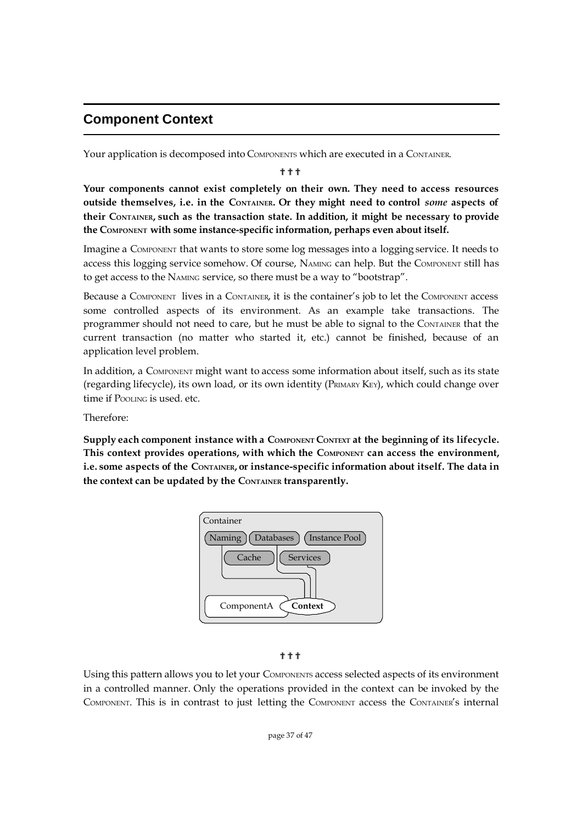## **Component Context**

Your application is decomposed into COMPONENTS which are executed in a CONTAINER.

???

**Your components cannot exist completely on their own. They need to access resources outside themselves, i.e. in the CONTAINER. Or they might need to control** *some* **aspects of their CONTAINER, such as the transaction state. In addition, it might be necessary to provide the COMPONENT with some instance-specific information, perhaps even about itself.**

Imagine a COMPONENT that wants to store some log messages into a logging service. It needs to access this logging service somehow. Of course, NAMING can help. But the COMPONENT still has to get access to the NAMING service, so there must be a way to "bootstrap".

Because a COMPONENT lives in a CONTAINER, it is the container's job to let the COMPONENT access some controlled aspects of its environment. As an example take transactions. The programmer should not need to care, but he must be able to signal to the CONTAINER that the current transaction (no matter who started it, etc.) cannot be finished, because of an application level problem.

In addition, a COMPONENT might want to access some information about itself, such as its state (regarding lifecycle), its own load, or its own identity (PRIMARY KEY), which could change over time if POOLING is used. etc.

Therefore:

**Supply each component instance with a COMPONENT CONTEXT at the beginning of its lifecycle. This context provides operations, with which the COMPONENT can access the environment, i.e. some aspects of the CONTAINER, or instance-specific information about itself. The data in the context can be updated by the CONTAINER transparently.**





Using this pattern allows you to let your COMPONENTS access selected aspects of its environment in a controlled manner. Only the operations provided in the context can be invoked by the COMPONENT. This is in contrast to just letting the COMPONENT access the CONTAINER's internal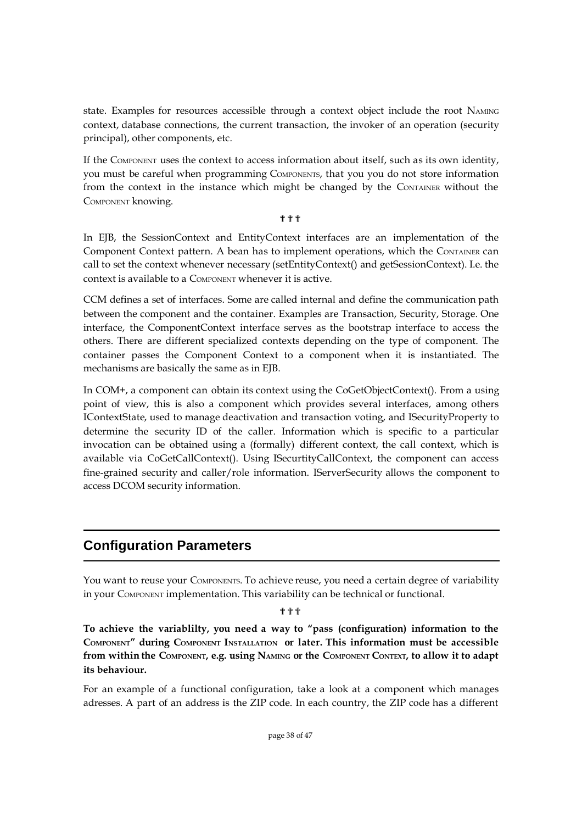state. Examples for resources accessible through a context object include the root NAMING context, database connections, the current transaction, the invoker of an operation (security principal), other components, etc.

If the COMPONENT uses the context to access information about itself, such as its own identity, you must be careful when programming COMPONENTS, that you you do not store information from the context in the instance which might be changed by the CONTAINER without the COMPONENT knowing.

#### **...**<br>?

In EJB, the SessionContext and EntityContext interfaces are an implementation of the Component Context pattern. A bean has to implement operations, which the CONTAINER can call to set the context whenever necessary (setEntityContext() and getSessionContext). I.e. the context is available to a COMPONENT whenever it is active.

CCM defines a set of interfaces. Some are called internal and define the communication path between the component and the container. Examples are Transaction, Security, Storage. One interface, the ComponentContext interface serves as the bootstrap interface to access the others. There are different specialized contexts depending on the type of component. The container passes the Component Context to a component when it is instantiated. The mechanisms are basically the same as in EJB.

In COM+, a component can obtain its context using the CoGetObjectContext(). From a using point of view, this is also a component which provides several interfaces, among others IContextState, used to manage deactivation and transaction voting, and ISecurityProperty to determine the security ID of the caller. Information which is specific to a particular invocation can be obtained using a (formally) different context, the call context, which is available via CoGetCallContext(). Using ISecurtityCallContext, the component can access fine-grained security and caller/role information. IServerSecurity allows the component to access DCOM security information.

## **Configuration Parameters**

You want to reuse your COMPONENTS. To achieve reuse, you need a certain degree of variability in your COMPONENT implementation. This variability can be technical or functional.

#### ???

**To achieve the variablilty, you need a way to "pass (configuration) information to the COMPONENT" during COMPONENT INSTALLATION or later. This information must be accessible** from within the COMPONENT, e.g. using NAMING or the COMPONENT CONTEXT, to allow it to adapt **its behaviour.**

For an example of a functional configuration, take a look at a component which manages adresses. A part of an address is the ZIP code. In each country, the ZIP code has a different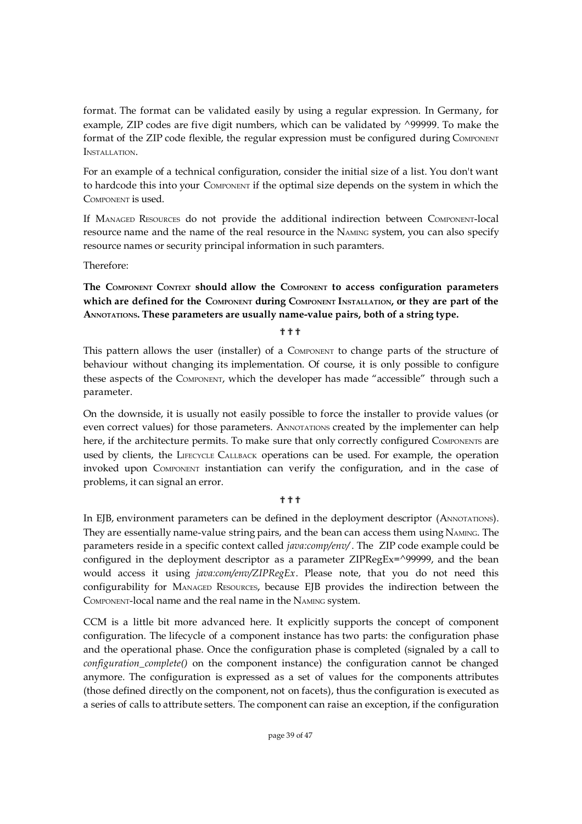format. The format can be validated easily by using a regular expression. In Germany, for example, ZIP codes are five digit numbers, which can be validated by ^99999. To make the format of the ZIP code flexible, the regular expression must be configured during COMPONENT INSTALLATION.

For an example of a technical configuration, consider the initial size of a list. You don't want to hardcode this into your COMPONENT if the optimal size depends on the system in which the COMPONENT is used.

If MANAGED RESOURCES do not provide the additional indirection between COMPONENT-local resource name and the name of the real resource in the NAMING system, you can also specify resource names or security principal information in such paramters.

Therefore:

**The COMPONENT CONTEXT should allow the COMPONENT to access configuration parameters which are defined for the COMPONENT during COMPONENT INSTALLATION, or they are part of the ANNOTATIONS. These parameters are usually name-value pairs, both of a string type.**

???

This pattern allows the user (installer) of a COMPONENT to change parts of the structure of behaviour without changing its implementation. Of course, it is only possible to configure these aspects of the COMPONENT, which the developer has made "accessible" through such a parameter.

On the downside, it is usually not easily possible to force the installer to provide values (or even correct values) for those parameters. ANNOTATIONS created by the implementer can help here, if the architecture permits. To make sure that only correctly configured COMPONENTS are used by clients, the LIFECYCLE CALLBACK operations can be used. For example, the operation invoked upon COMPONENT instantiation can verify the configuration, and in the case of problems, it can signal an error.

#### ???

In EJB, environment parameters can be defined in the deployment descriptor (ANNOTATIONS). They are essentially name-value string pairs, and the bean can access them using NAMING. The parameters reside in a specific context called *java:comp/env/* . The ZIP code example could be configured in the deployment descriptor as a parameter ZIPRegEx=^99999, and the bean would access it using *java:com/env/ZIPRegEx*. Please note, that you do not need this configurability for MANAGED RESOURCES, because EJB provides the indirection between the COMPONENT-local name and the real name in the NAMING system.

CCM is a little bit more advanced here. It explicitly supports the concept of component configuration. The lifecycle of a component instance has two parts: the configuration phase and the operational phase. Once the configuration phase is completed (signaled by a call to *configuration\_complete()* on the component instance) the configuration cannot be changed anymore. The configuration is expressed as a set of values for the components attributes (those defined directly on the component, not on facets), thus the configuration is executed as a series of calls to attribute setters. The component can raise an exception, if the configuration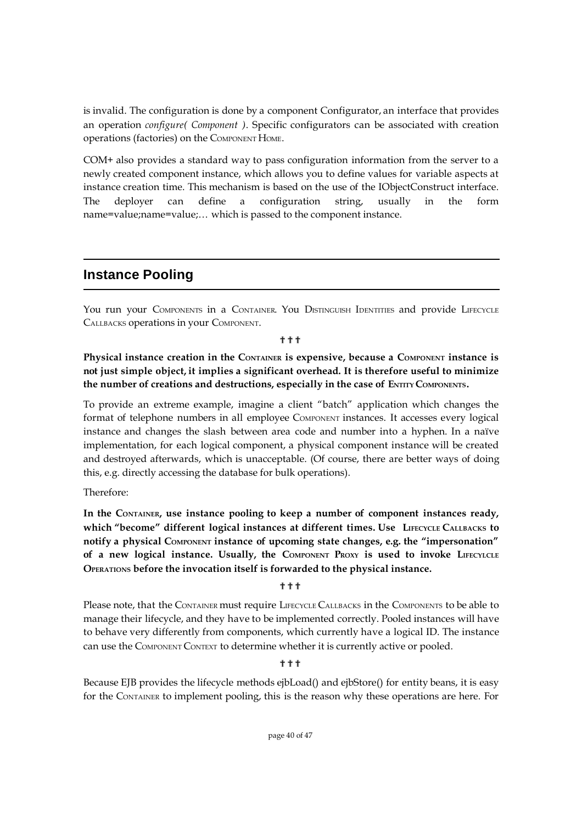is invalid. The configuration is done by a component Configurator, an interface that provides an operation *configure( Component )*. Specific configurators can be associated with creation operations (factories) on the COMPONENT HOME.

COM+ also provides a standard way to pass configuration information from the server to a newly created component instance, which allows you to define values for variable aspects at instance creation time. This mechanism is based on the use of the IObjectConstruct interface. The deployer can define a configuration string, usually in the form name=value;name=value;... which is passed to the component instance.

### **Instance Pooling**

You run your COMPONENTS in a CONTAINER. You DISTINGUISH IDENTITIES and provide LIFECYCLE CALLBACKS operations in your COMPONENT.

#### **\*\***

**Physical instance creation in the CONTAINER is expensive, because a COMPONENT instance is not just simple object, it implies a significant overhead. It is therefore useful to minimize the number of creations and destructions, especially in the case of ENTITY COMPONENTS.**

To provide an extreme example, imagine a client "batch" application which changes the format of telephone numbers in all employee COMPONENT instances. It accesses every logical instance and changes the slash between area code and number into a hyphen. In a naïve implementation, for each logical component, a physical component instance will be created and destroyed afterwards, which is unacceptable. (Of course, there are better ways of doing this, e.g. directly accessing the database for bulk operations).

Therefore:

**In the CONTAINER, use instance pooling to keep a number of component instances ready, which "become" different logical instances at different times. Use LIFECYCLE CALLBACKS to notify a physical COMPONENT instance of upcoming state changes, e.g. the "impersonation" of a new logical instance. Usually, the COMPONENT PROXY is used to invoke LIFECYLCLE OPERATIONS before the invocation itself is forwarded to the physical instance.**

#### ???

Please note, that the CONTAINER must require LIFECYCLE CALLBACKS in the COMPONENTS to be able to manage their lifecycle, and they have to be implemented correctly. Pooled instances will have to behave very differently from components, which currently have a logical ID. The instance can use the COMPONENT CONTEXT to determine whether it is currently active or pooled.

#### **\*\***

Because EJB provides the lifecycle methods ejbLoad() and ejbStore() for entity beans, it is easy for the CONTAINER to implement pooling, this is the reason why these operations are here. For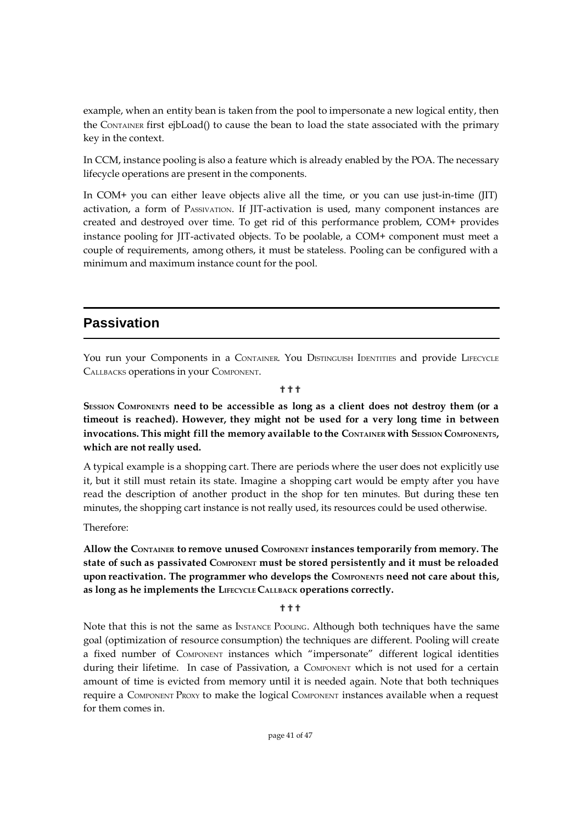example, when an entity bean is taken from the pool to impersonate a new logical entity, then the CONTAINER first ejbLoad() to cause the bean to load the state associated with the primary key in the context.

In CCM, instance pooling is also a feature which is already enabled by the POA. The necessary lifecycle operations are present in the components.

In COM+ you can either leave objects alive all the time, or you can use just-in-time (JIT) activation, a form of PASSIVATION. If JIT-activation is used, many component instances are created and destroyed over time. To get rid of this performance problem, COM+ provides instance pooling for JIT-activated objects. To be poolable, a COM+ component must meet a couple of requirements, among others, it must be stateless. Pooling can be configured with a minimum and maximum instance count for the pool.

### **Passivation**

You run your Components in a CONTAINER. You DISTINGUISH IDENTITIES and provide LIFECYCLE CALLBACKS operations in your COMPONENT.

???

**SESSION COMPONENTS need to be accessible as long as a client does not destroy them (or a timeout is reached). However, they might not be used for a very long time in between invocations. This might fill the memory available to the CONTAINER with SESSION COMPONENTS, which are not really used.**

A typical example is a shopping cart. There are periods where the user does not explicitly use it, but it still must retain its state. Imagine a shopping cart would be empty after you have read the description of another product in the shop for ten minutes. But during these ten minutes, the shopping cart instance is not really used, its resources could be used otherwise.

Therefore:

**Allow the CONTAINER to remove unused COMPONENT instances temporarily from memory. The state of such as passivated COMPONENT must be stored persistently and it must be reloaded upon reactivation. The programmer who develops the COMPONENTS need not care about this, as long as he implements the LIFECYCLE CALLBACK operations correctly.**

#### ???

Note that this is not the same as INSTANCE POOLING. Although both techniques have the same goal (optimization of resource consumption) the techniques are different. Pooling will create a fixed number of COMPONENT instances which "impersonate" different logical identities during their lifetime. In case of Passivation, a COMPONENT which is not used for a certain amount of time is evicted from memory until it is needed again. Note that both techniques require a COMPONENT PROXY to make the logical COMPONENT instances available when a request for them comes in.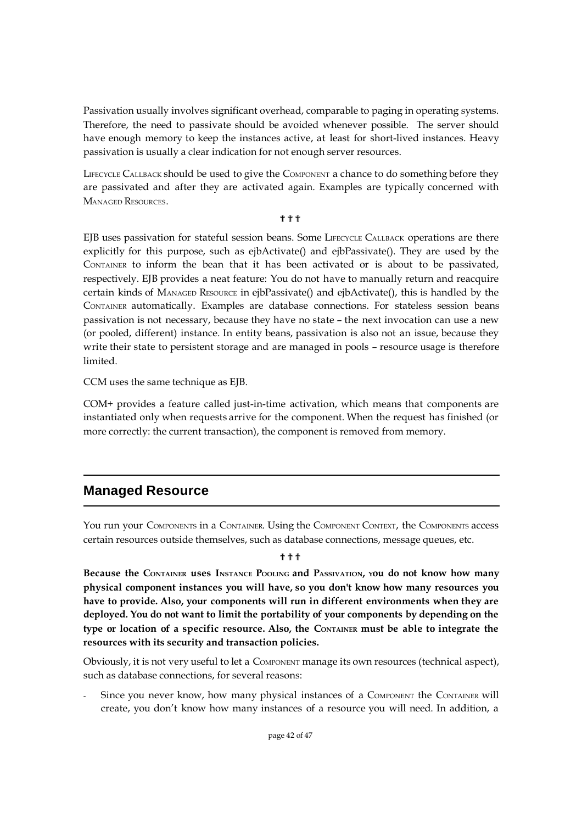Passivation usually involves significant overhead, comparable to paging in operating systems. Therefore, the need to passivate should be avoided whenever possible. The server should have enough memory to keep the instances active, at least for short-lived instances. Heavy passivation is usually a clear indication for not enough server resources.

LIFECYCLE CALLBACK should be used to give the COMPONENT a chance to do something before they are passivated and after they are activated again. Examples are typically concerned with MANAGED RESOURCES.

#### ???

EJB uses passivation for stateful session beans. Some LIFECYCLE CALLBACK operations are there explicitly for this purpose, such as ejbActivate() and ejbPassivate(). They are used by the CONTAINER to inform the bean that it has been activated or is about to be passivated, respectively. EJB provides a neat feature: You do not have to manually return and reacquire certain kinds of MANAGED RESOURCE in ejbPassivate() and ejbActivate(), this is handled by the CONTAINER automatically. Examples are database connections. For stateless session beans passivation is not necessary, because they have no state – the next invocation can use a new (or pooled, different) instance. In entity beans, passivation is also not an issue, because they write their state to persistent storage and are managed in pools – resource usage is therefore limited.

CCM uses the same technique as EJB.

COM+ provides a feature called just-in-time activation, which means that components are instantiated only when requests arrive for the component. When the request has finished (or more correctly: the current transaction), the component is removed from memory.

## **Managed Resource**

You run your COMPONENTS in a CONTAINER. Using the COMPONENT CONTEXT, the COMPONENTS access certain resources outside themselves, such as database connections, message queues, etc.

#### ???

Because the CONTAINER uses INSTANCE POOLING and PASSIVATION, you do not know how many **physical component instances you will have, so you don't know how many resources you have to provide. Also, your components will run in different environments when they are deployed. You do not want to limit the portability of your components by depending on the type or location of a specific resource. Also, the CONTAINER must be able to integrate the resources with its security and transaction policies.**

Obviously, it is not very useful to let a COMPONENT manage its own resources (technical aspect), such as database connections, for several reasons:

Since you never know, how many physical instances of a COMPONENT the CONTAINER will create, you don't know how many instances of a resource you will need. In addition, a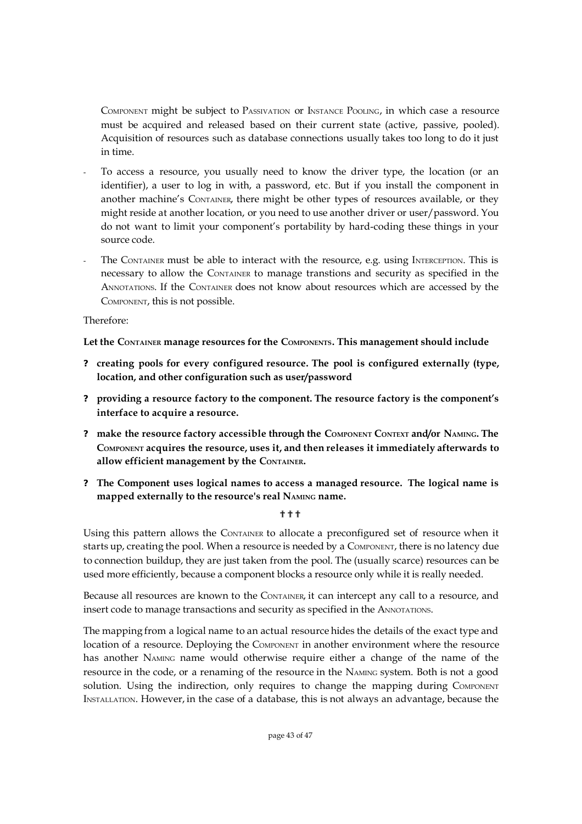COMPONENT might be subject to PASSIVATION or INSTANCE POOLING, in which case a resource must be acquired and released based on their current state (active, passive, pooled). Acquisition of resources such as database connections usually takes too long to do it just in time.

- To access a resource, you usually need to know the driver type, the location (or an identifier), a user to log in with, a password, etc. But if you install the component in another machine's CONTAINER, there might be other types of resources available, or they might reside at another location, or you need to use another driver or user/password. You do not want to limit your component's portability by hard-coding these things in your source code.
- The CONTAINER must be able to interact with the resource, e.g. using INTERCEPTION. This is necessary to allow the CONTAINER to manage transtions and security as specified in the ANNOTATIONS. If the CONTAINER does not know about resources which are accessed by the COMPONENT, this is not possible.

Therefore:

**Let the CONTAINER manage resources for the COMPONENTS. This management should include**

- **? creating pools for every configured resource. The pool is configured externally (type, location, and other configuration such as user/password**
- **? providing a resource factory to the component. The resource factory is the component's interface to acquire a resource.**
- **? make the resource factory accessible through the COMPONENT CONTEXT and/or NAMING. The COMPONENT acquires the resource, uses it, and then releases it immediately afterwards to allow efficient management by the CONTAINER.**
- **? The Component uses logical names to access a managed resource. The logical name is mapped externally to the resource's real NAMING name.**

???

Using this pattern allows the CONTAINER to allocate a preconfigured set of resource when it starts up, creating the pool. When a resource is needed by a COMPONENT, there is no latency due to connection buildup, they are just taken from the pool. The (usually scarce) resources can be used more efficiently, because a component blocks a resource only while it is really needed.

Because all resources are known to the CONTAINER, it can intercept any call to a resource, and insert code to manage transactions and security as specified in the ANNOTATIONS.

The mapping from a logical name to an actual resource hides the details of the exact type and location of a resource. Deploying the COMPONENT in another environment where the resource has another NAMING name would otherwise require either a change of the name of the resource in the code, or a renaming of the resource in the NAMING system. Both is not a good solution. Using the indirection, only requires to change the mapping during COMPONENT INSTALLATION. However, in the case of a database, this is not always an advantage, because the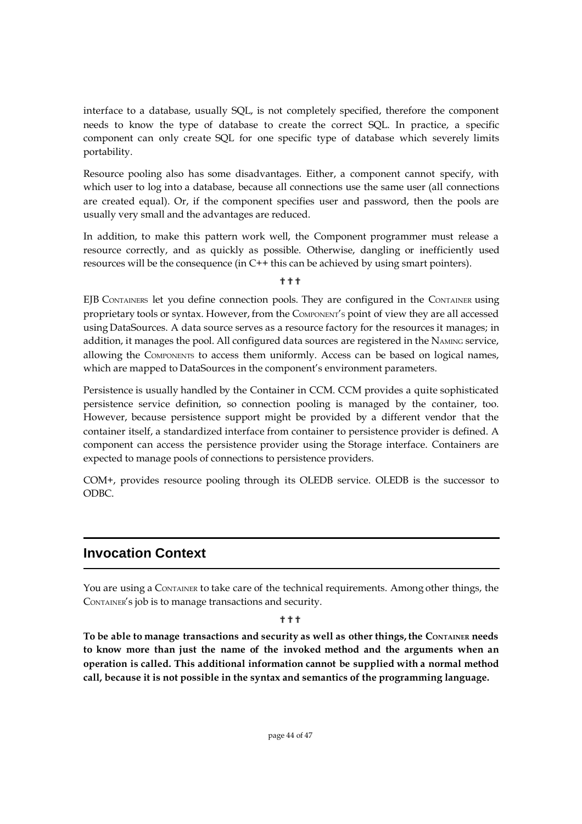interface to a database, usually SQL, is not completely specified, therefore the component needs to know the type of database to create the correct SQL. In practice, a specific component can only create SQL for one specific type of database which severely limits portability.

Resource pooling also has some disadvantages. Either, a component cannot specify, with which user to log into a database, because all connections use the same user (all connections are created equal). Or, if the component specifies user and password, then the pools are usually very small and the advantages are reduced.

In addition, to make this pattern work well, the Component programmer must release a resource correctly, and as quickly as possible. Otherwise, dangling or inefficiently used resources will be the consequence (in C++ this can be achieved by using smart pointers).

???

EJB CONTAINERS let you define connection pools. They are configured in the CONTAINER using proprietary tools or syntax. However, from the COMPONENT'<sup>S</sup> point of view they are all accessed using DataSources. A data source serves as a resource factory for the resources it manages; in addition, it manages the pool. All configured data sources are registered in the NAMING service, allowing the COMPONENTS to access them uniformly. Access can be based on logical names, which are mapped to DataSources in the component's environment parameters.

Persistence is usually handled by the Container in CCM. CCM provides a quite sophisticated persistence service definition, so connection pooling is managed by the container, too. However, because persistence support might be provided by a different vendor that the container itself, a standardized interface from container to persistence provider is defined. A component can access the persistence provider using the Storage interface. Containers are expected to manage pools of connections to persistence providers.

COM+, provides resource pooling through its OLEDB service. OLEDB is the successor to ODBC.

## **Invocation Context**

You are using a CONTAINER to take care of the technical requirements. Among other things, the CONTAINER's job is to manage transactions and security.

#### **\*\***

**To be able to manage transactions and security as well as other things, the CONTAINER needs to know more than just the name of the invoked method and the arguments when an operation is called. This additional information cannot be supplied with a normal method call, because it is not possible in the syntax and semantics of the programming language.**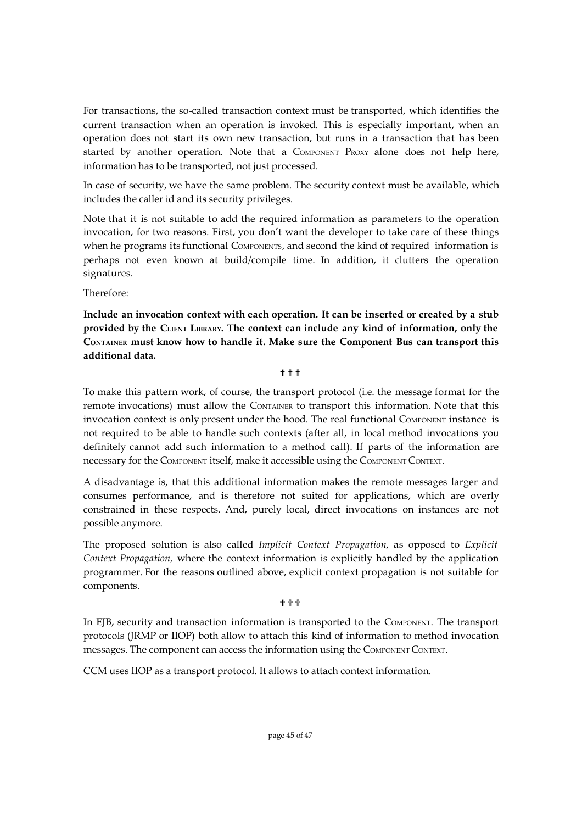For transactions, the so-called transaction context must be transported, which identifies the current transaction when an operation is invoked. This is especially important, when an operation does not start its own new transaction, but runs in a transaction that has been started by another operation. Note that a COMPONENT PROXY alone does not help here, information has to be transported, not just processed.

In case of security, we have the same problem. The security context must be available, which includes the caller id and its security privileges.

Note that it is not suitable to add the required information as parameters to the operation invocation, for two reasons. First, you don't want the developer to take care of these things when he programs its functional COMPONENTS, and second the kind of required information is perhaps not even known at build/compile time. In addition, it clutters the operation signatures.

Therefore:

**Include an invocation context with each operation. It can be inserted or created by a stub provided by the CLIENT LIBRARY. The context can include any kind of information, only the CONTAINER must know how to handle it. Make sure the Component Bus can transport this additional data.**

#### ???

To make this pattern work, of course, the transport protocol (i.e. the message format for the remote invocations) must allow the CONTAINER to transport this information. Note that this invocation context is only present under the hood. The real functional COMPONENT instance is not required to be able to handle such contexts (after all, in local method invocations you definitely cannot add such information to a method call). If parts of the information are necessary for the COMPONENT itself, make it accessible using the COMPONENT CONTEXT.

A disadvantage is, that this additional information makes the remote messages larger and consumes performance, and is therefore not suited for applications, which are overly constrained in these respects. And, purely local, direct invocations on instances are not possible anymore.

The proposed solution is also called *Implicit Context Propagation*, as opposed to *Explicit Context Propagation,* where the context information is explicitly handled by the application programmer. For the reasons outlined above, explicit context propagation is not suitable for components.

#### ???

In EJB, security and transaction information is transported to the COMPONENT. The transport protocols (JRMP or IIOP) both allow to attach this kind of information to method invocation messages. The component can access the information using the COMPONENT CONTEXT.

CCM uses IIOP as a transport protocol. It allows to attach context information.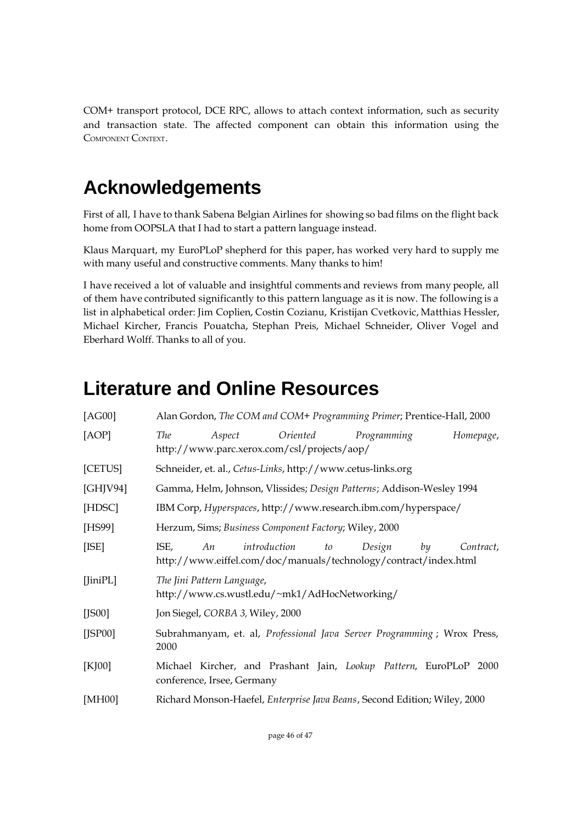COM+ transport protocol, DCE RPC, allows to attach context information, such as security and transaction state. The affected component can obtain this information using the COMPONENT CONTEXT.

## **Acknowledgements**

First of all, I have to thank Sabena Belgian Airlines for showing so bad films on the flight back home from OOPSLA that I had to start a pattern language instead.

Klaus Marquart, my EuroPLoP shepherd for this paper, has worked very hard to supply me with many useful and constructive comments. Many thanks to him!

I have received a lot of valuable and insightful comments and reviews from many people, all of them have contributed significantly to this pattern language as it is now. The following is a list in alphabetical order: Jim Coplien, Costin Cozianu, Kristijan Cvetkovic, Matthias Hessler, Michael Kircher, Francis Pouatcha, Stephan Preis, Michael Schneider, Oliver Vogel and Eberhard Wolff. Thanks to all of you.

## **Literature and Online Resources**

| [AG00]             | Alan Gordon, The COM and COM+ Programming Primer; Prentice-Hall, 2000                                                             |  |  |  |  |  |  |
|--------------------|-----------------------------------------------------------------------------------------------------------------------------------|--|--|--|--|--|--|
| [AOP]              | <i>Oriented</i><br>The<br>Programming<br>Homepage,<br>Aspect<br>http://www.parc.xerox.com/csl/projects/aop/                       |  |  |  |  |  |  |
| [CETUS]            | Schneider, et. al., Cetus-Links, http://www.cetus-links.org                                                                       |  |  |  |  |  |  |
| [GHJV94]           | Gamma, Helm, Johnson, Vlissides; Design Patterns; Addison-Wesley 1994                                                             |  |  |  |  |  |  |
| [HDSC]             | IBM Corp, Hyperspaces, http://www.research.ibm.com/hyperspace/                                                                    |  |  |  |  |  |  |
| [HS99]             | Herzum, Sims; Business Component Factory; Wiley, 2000                                                                             |  |  |  |  |  |  |
| [ <sub>ISE</sub> ] | introduction<br>ISE,<br>to<br>Design<br>by<br>Contract,<br>An<br>http://www.eiffel.com/doc/manuals/technology/contract/index.html |  |  |  |  |  |  |
| $[$ Jini $PL]$     | The Jini Pattern Language,<br>http://www.cs.wustl.edu/~mk1/AdHocNetworking/                                                       |  |  |  |  |  |  |
| $[$ JS00 $]$       | Jon Siegel, CORBA 3, Wiley, 2000                                                                                                  |  |  |  |  |  |  |
| $[$ JSP00]         | Subrahmanyam, et. al, Professional Java Server Programming; Wrox Press,<br>2000                                                   |  |  |  |  |  |  |
| [KJ00]             | Michael Kircher, and Prashant Jain, Lookup Pattern, EuroPLoP 2000<br>conference, Irsee, Germany                                   |  |  |  |  |  |  |
| [MH00]             | Richard Monson-Haefel, Enterprise Java Beans, Second Edition; Wiley, 2000                                                         |  |  |  |  |  |  |